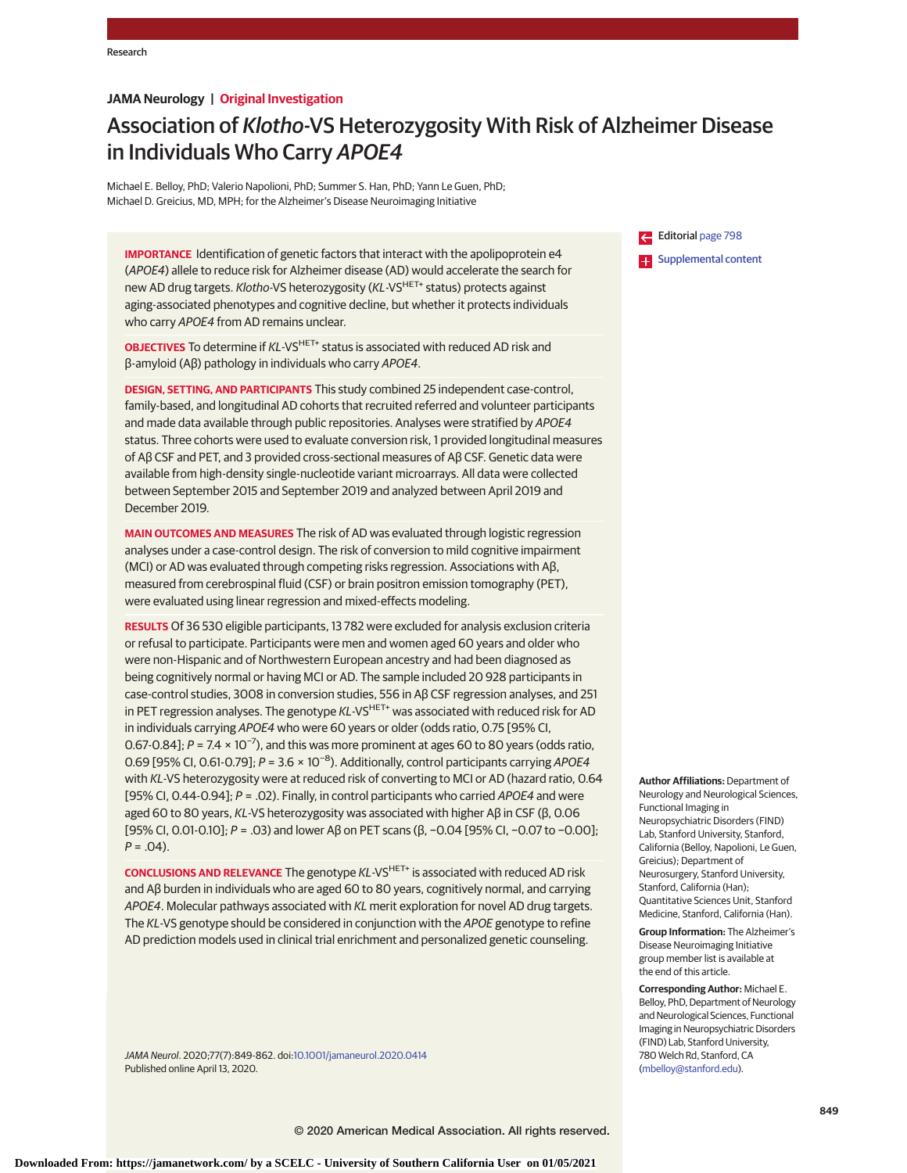## **JAMA Neurology | Original Investigation**

# Association of Klotho-VS Heterozygosity With Risk of Alzheimer Disease in Individuals Who Carry APOE4

Michael E. Belloy, PhD; Valerio Napolioni, PhD; Summer S. Han, PhD; Yann Le Guen, PhD; Michael D. Greicius, MD, MPH; for the Alzheimer's Disease Neuroimaging Initiative

**IMPORTANCE** Identification of genetic factors that interact with the apolipoprotein e4 (APOE4) allele to reduce risk for Alzheimer disease (AD) would accelerate the search for new AD drug targets. Klotho-VS heterozygosity (KL-VS<sup>HET+</sup> status) protects against aging-associated phenotypes and cognitive decline, but whether it protects individuals who carry APOE4 from AD remains unclear.

**OBJECTIVES** To determine if KL-VS<sup>HET+</sup> status is associated with reduced AD risk and β-amyloid (Aβ) pathology in individuals who carry APOE4.

**DESIGN, SETTING, AND PARTICIPANTS** This study combined 25 independent case-control, family-based, and longitudinal AD cohorts that recruited referred and volunteer participants and made data available through public repositories. Analyses were stratified by APOE4 status. Three cohorts were used to evaluate conversion risk, 1 provided longitudinal measures of Aβ CSF and PET, and 3 provided cross-sectional measures of Aβ CSF. Genetic data were available from high-density single-nucleotide variant microarrays. All data were collected between September 2015 and September 2019 and analyzed between April 2019 and December 2019.

**MAIN OUTCOMES AND MEASURES** The risk of AD was evaluated through logistic regression analyses under a case-control design. The risk of conversion to mild cognitive impairment (MCI) or AD was evaluated through competing risks regression. Associations with Aβ, measured from cerebrospinal fluid (CSF) or brain positron emission tomography (PET), were evaluated using linear regression and mixed-effects modeling.

**RESULTS** Of 36 530 eligible participants, 13 782 were excluded for analysis exclusion criteria or refusal to participate. Participants were men and women aged 60 years and older who were non-Hispanic and of Northwestern European ancestry and had been diagnosed as being cognitively normal or having MCI or AD. The sample included 20 928 participants in case-control studies, 3008 in conversion studies, 556 in Aβ CSF regression analyses, and 251 in PET regression analyses. The genotype KL-VS<sup>HET+</sup> was associated with reduced risk for AD in individuals carrying APOE4 who were 60 years or older (odds ratio, 0.75 [95% CI, 0.67-0.84]; P = 7.4  $\times$  10<sup>-7</sup>), and this was more prominent at ages 60 to 80 years (odds ratio, 0.69 [95% CI, 0.61-0.79];  $P = 3.6 \times 10^{-8}$ ). Additionally, control participants carrying APOE4 with KL-VS heterozygosity were at reduced risk of converting to MCI or AD (hazard ratio, 0.64 [95% CI, 0.44-0.94]; P = .02). Finally, in control participants who carried APOE4 and were aged 60 to 80 years, KL-VS heterozygosity was associated with higher Aβ in CSF (β, 0.06 [95% CI, 0.01-0.10]; P = .03) and lower Aβ on PET scans (β, −0.04 [95% CI, −0.07 to −0.00];  $P = .04$ ).

**CONCLUSIONS AND RELEVANCE** The genotype KL-VS<sup>HET+</sup> is associated with reduced AD risk and Aβ burden in individuals who are aged 60 to 80 years, cognitively normal, and carrying APOE4. Molecular pathways associated with KL merit exploration for novel AD drug targets. The KL-VS genotype should be considered in conjunction with the APOE genotype to refine AD prediction models used in clinical trial enrichment and personalized genetic counseling.

JAMA Neurol. 2020;77(7):849-862. doi[:10.1001/jamaneurol.2020.0414](https://jamanetwork.com/journals/jama/fullarticle/10.1001/jamaneurol.2020.0414?utm_campaign=articlePDF%26utm_medium=articlePDFlink%26utm_source=articlePDF%26utm_content=jamaneurol.2020.0414) Published online April 13, 2020.

Editorial [page 798](https://jamanetwork.com/journals/jama/fullarticle/10.1001/jamaneurol.2020.0112?utm_campaign=articlePDF%26utm_medium=articlePDFlink%26utm_source=articlePDF%26utm_content=jamaneurol.2020.0414) **Examplemental content** 

**Author Affiliations:** Department of Neurology and Neurological Sciences, Functional Imaging in Neuropsychiatric Disorders (FIND) Lab, Stanford University, Stanford, California (Belloy, Napolioni, Le Guen, Greicius); Department of Neurosurgery, Stanford University, Stanford, California (Han); Quantitative Sciences Unit, Stanford Medicine, Stanford, California (Han).

**Group Information:** The Alzheimer's Disease Neuroimaging Initiative group member list is available at the end of this article.

**Corresponding Author:** Michael E. Belloy, PhD, Department of Neurology and Neurological Sciences, Functional Imaging in Neuropsychiatric Disorders (FIND) Lab, Stanford University, 780 Welch Rd, Stanford, CA [\(mbelloy@stanford.edu\)](mailto:mbelloy@stanford.edu).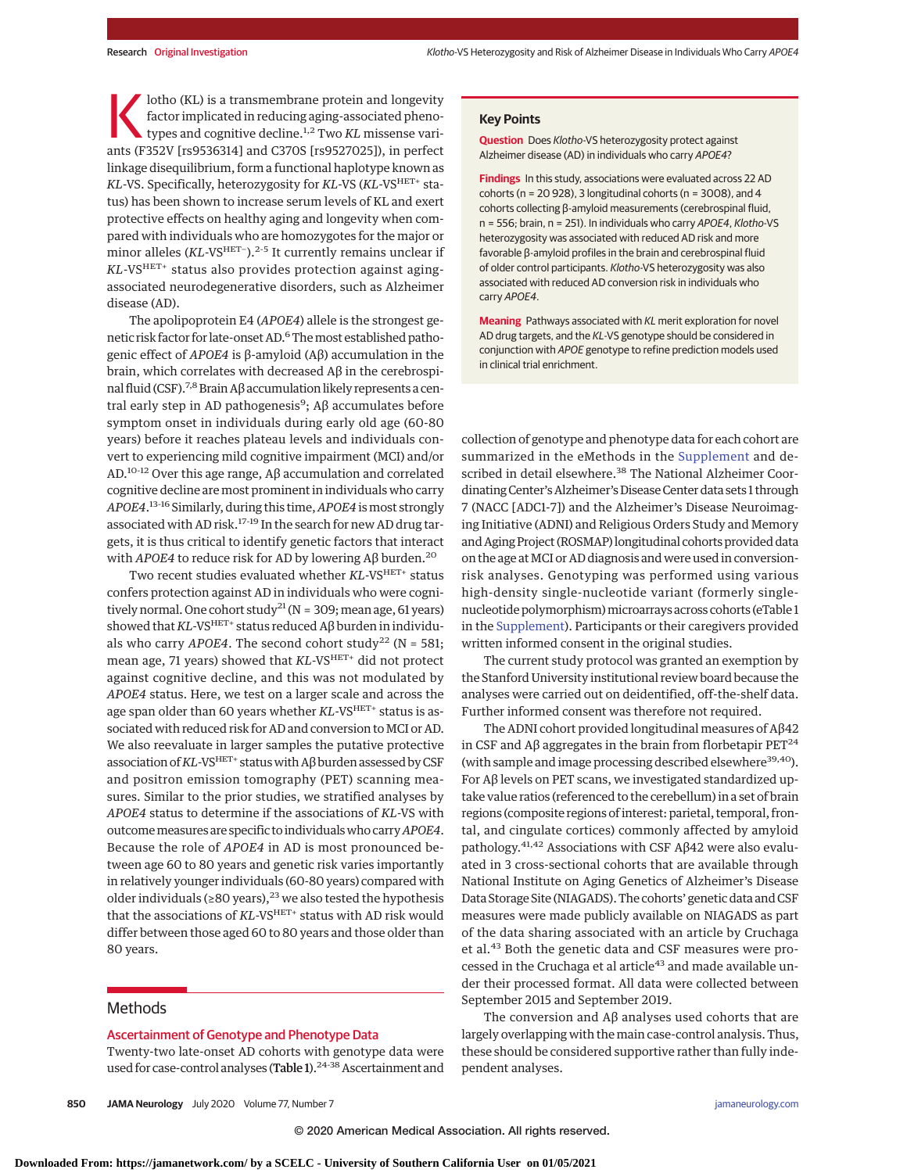lotho (KL) is a transmembrane protein and longevity factor implicated in reducing aging-associated phenotypes and cognitive decline.1,2 Two *KL* missense variants (F352V [rs9536314] and C370S [rs9527025]), in perfect linkage disequilibrium, form a functional haplotype known as *KL*-VS. Specifically, heterozygosity for *KL*-VS (*KL*-VS<sup>HET+</sup> status) has been shown to increase serum levels of KL and exert protective effects on healthy aging and longevity when compared with individuals who are homozygotes for the major or minor alleles (*KL*-VS<sup>HET−</sup>).<sup>2-5</sup> It currently remains unclear if *KL*-VSHET+ status also provides protection against agingassociated neurodegenerative disorders, such as Alzheimer disease (AD).

The apolipoprotein E4 (*APOE4*) allele is the strongest genetic risk factor for late-onset AD.<sup>6</sup> The most established pathogenic effect of *APOE4* is β-amyloid (Aβ) accumulation in the brain, which correlates with decreased Aβ in the cerebrospinal fluid (CSF).<sup>7,8</sup> Brain Aβ accumulation likely represents a central early step in AD pathogenesis<sup>9</sup>; Aβ accumulates before symptom onset in individuals during early old age (60-80 years) before it reaches plateau levels and individuals convert to experiencing mild cognitive impairment (MCI) and/or AD.10-12 Over this age range, Aβ accumulation and correlated cognitive decline are most prominent in individuals who carry *APOE4*. 13-16 Similarly, during this time, *APOE4* ismost strongly associated with AD risk.17-19 In the search for new AD drug targets, it is thus critical to identify genetic factors that interact with *APOE4* to reduce risk for AD by lowering Aβ burden.<sup>20</sup>

Two recent studies evaluated whether *KL*-VS<sup>HET+</sup> status confers protection against AD in individuals who were cognitively normal. One cohort study<sup>21</sup> ( $N = 309$ ; mean age, 61 years) showed that *KL*-VS<sup>HET+</sup> status reduced Aβ burden in individuals who carry *APOE4*. The second cohort study<sup>22</sup> (N = 581; mean age, 71 years) showed that *KL*-VSHET+ did not protect against cognitive decline, and this was not modulated by *APOE4* status. Here, we test on a larger scale and across the age span older than 60 years whether *KL*-VS<sup>HET+</sup> status is associated with reduced risk for AD and conversion to MCI or AD. We also reevaluate in larger samples the putative protective association of KL-VS<sup>HET+</sup> status with Aβ burden assessed by CSF and positron emission tomography (PET) scanning measures. Similar to the prior studies, we stratified analyses by *APOE4* status to determine if the associations of *KL*-VS with outcomemeasures are specific to individualswho carry*APOE4*. Because the role of *APOE4* in AD is most pronounced between age 60 to 80 years and genetic risk varies importantly in relatively younger individuals (60-80 years) compared with older individuals ( $\geq 80$  years),<sup>23</sup> we also tested the hypothesis that the associations of *KL*-VS<sup>HET+</sup> status with AD risk would differ between those aged 60 to 80 years and those older than 80 years.

### **Methods**

#### Ascertainment of Genotype and Phenotype Data

Twenty-two late-onset AD cohorts with genotype data were used for case-control analyses (Table 1).<sup>24-38</sup> Ascertainment and

**850 JAMA Neurology** July 2020 Volume 77, Number 7 **(Reprinted)** [jamaneurology.com](http://www.jamaneurology.com?utm_campaign=articlePDF%26utm_medium=articlePDFlink%26utm_source=articlePDF%26utm_content=jamaneurol.2020.0414)

#### **Key Points**

**Question** Does Klotho-VS heterozygosity protect against Alzheimer disease (AD) in individuals who carry APOE4?

**Findings** In this study, associations were evaluated across 22 AD cohorts (n = 20 928), 3 longitudinal cohorts (n = 3008), and 4 cohorts collecting β-amyloid measurements (cerebrospinal fluid, n = 556; brain, n = 251). In individuals who carry APOE4, Klotho-VS heterozygosity was associated with reduced AD risk and more favorable β-amyloid profiles in the brain and cerebrospinal fluid of older control participants. Klotho-VS heterozygosity was also associated with reduced AD conversion risk in individuals who carry APOE4.

**Meaning** Pathways associated with KL merit exploration for novel AD drug targets, and the KL-VS genotype should be considered in conjunction with APOE genotype to refine prediction models used in clinical trial enrichment.

collection of genotype and phenotype data for each cohort are summarized in the eMethods in the [Supplement](https://jamanetwork.com/journals/jama/fullarticle/10.1001/jamaneurol.2020.0414?utm_campaign=articlePDF%26utm_medium=articlePDFlink%26utm_source=articlePDF%26utm_content=jamaneurol.2020.0414) and described in detail elsewhere.<sup>38</sup> The National Alzheimer Coordinating Center's Alzheimer's Disease Center data sets 1 through 7 (NACC [ADC1-7]) and the Alzheimer's Disease Neuroimaging Initiative (ADNI) and Religious Orders Study and Memory and Aging Project (ROSMAP) longitudinal cohorts provided data on the age at MCI or AD diagnosis and were used in conversionrisk analyses. Genotyping was performed using various high-density single-nucleotide variant (formerly singlenucleotide polymorphism) microarrays across cohorts (eTable 1 in the [Supplement\)](https://jamanetwork.com/journals/jama/fullarticle/10.1001/jamaneurol.2020.0414?utm_campaign=articlePDF%26utm_medium=articlePDFlink%26utm_source=articlePDF%26utm_content=jamaneurol.2020.0414). Participants or their caregivers provided written informed consent in the original studies.

The current study protocol was granted an exemption by the Stanford University institutional review board because the analyses were carried out on deidentified, off-the-shelf data. Further informed consent was therefore not required.

The ADNI cohort provided longitudinal measures of Aβ42 in CSF and Aβ aggregates in the brain from florbetapir  $PET<sup>24</sup>$ (with sample and image processing described elsewhere  $39,40$ ). For Aβ levels on PET scans, we investigated standardized uptake value ratios (referenced to the cerebellum) in a set of brain regions (composite regions of interest: parietal, temporal, frontal, and cingulate cortices) commonly affected by amyloid pathology.<sup>41,42</sup> Associations with CSF Aβ42 were also evaluated in 3 cross-sectional cohorts that are available through National Institute on Aging Genetics of Alzheimer's Disease Data Storage Site (NIAGADS). The cohorts' genetic data and CSF measures were made publicly available on NIAGADS as part of the data sharing associated with an article by Cruchaga et al.<sup>43</sup> Both the genetic data and CSF measures were processed in the Cruchaga et al article<sup>43</sup> and made available under their processed format. All data were collected between September 2015 and September 2019.

The conversion and Aβ analyses used cohorts that are largely overlapping with the main case-control analysis. Thus, these should be considered supportive rather than fully independent analyses.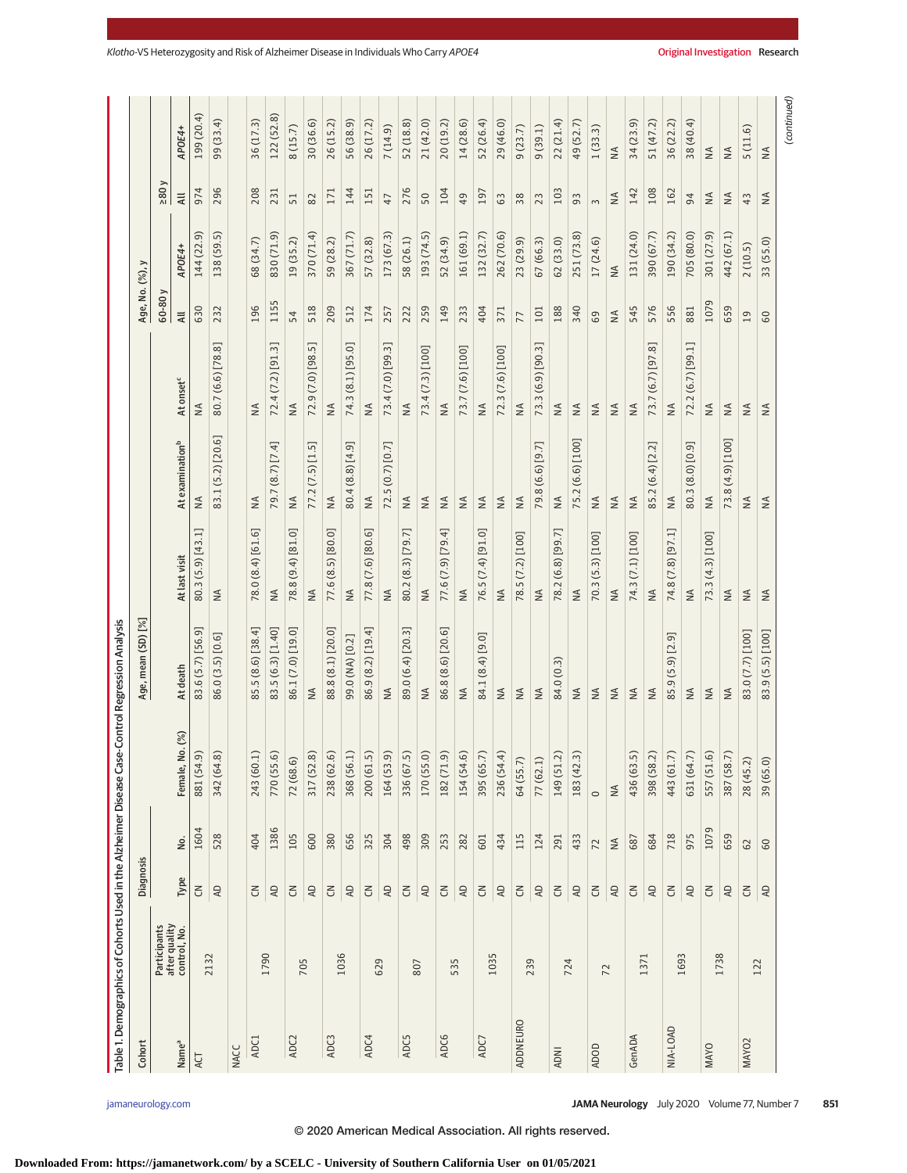| Cohort            | Table 1. Demographics of Cohorts Used in the Alzheimer Disease Cas | Diagnosis                         |                |                                                                       | se-Control Regression Analysis<br>Age, mean (SD) [%] |                              |                              |                        | Age, No. (%), |            |               |                              |
|-------------------|--------------------------------------------------------------------|-----------------------------------|----------------|-----------------------------------------------------------------------|------------------------------------------------------|------------------------------|------------------------------|------------------------|---------------|------------|---------------|------------------------------|
|                   | Participants<br>after quality<br>control, No.                      |                                   |                |                                                                       |                                                      |                              |                              |                        | 60-80 y       |            | $280$         |                              |
| Name <sup>a</sup> |                                                                    | Type                              | ρó.            | No. (%)<br>Female,                                                    | At death                                             | At last visit                | At examination <sup>b</sup>  | At onset <sup>c</sup>  | $\equiv$      | APOE4+     | $\equiv$      | APOE4+                       |
| ACT               |                                                                    | $\leq$                            | 1604           | $\widehat{p}$<br>881 (54.                                             | 83.6 (5.7) [56.9]                                    | 80.3 (5.9) [43.1]            | $\lessgtr$                   | $\lessgtr$             | 630           | 144 (22.9) | 974           | 199 (20.4)                   |
|                   | 2132                                                               | $\mathsf A\mathsf D$              | 528            | $\widehat{\infty}$<br>342 (64.                                        | 86.0 (3.5) [0.6]                                     | $\leq$                       | 83.1 (5.2) [20.6]            | 80.7 (6.6) [78.8]      | 232           | 138 (59.5) | 296           | 99 (33.4)                    |
| <b>NACC</b>       |                                                                    |                                   |                |                                                                       |                                                      |                              |                              |                        |               |            |               |                              |
| ADC1              |                                                                    | $\lesssim$                        | 404            | $\overline{a}$<br>243 (60.                                            | 85.5 (8.6) [38.4]                                    | 78.0 (8.4) [61.6]            | $\leq$                       | $\lessgtr$             | 196           | 68 (34.7)  | 208           | 36(17.3)                     |
|                   | 1790                                                               | $\overline{\mathsf{A}}\mathsf{D}$ | 1386           | $\ddot{\circ}$<br>770 (55.                                            | 83.5 (6.3) [1.40]                                    | $\leq$                       | 79.7 (8.7) [7.4]             | 72.4 (7.2) [91.3]      | 1155          | 830 (71.9) | 231           | 122 (52.8)                   |
| ADC2              |                                                                    | $\lesssim$                        | 105            | 72 (68.6)                                                             | 86.1 (7.0) [19.0]                                    | 78.8 (9.4) [81.0]            | $\leq$                       | $\lessgtr$             | 54            | 19 (35.2)  | 51            | 8(15.7)                      |
|                   | 705                                                                | $\mathsf A\mathsf D$              | 600            | $\widehat{\infty}$<br>317 (52                                         | $\frac{4}{2}$                                        | $\leq$                       | 77.2 (7.5) [1.5]             | 72.9 (7.0) [98.5]      | 518           | 370(71.4)  | $82\,$        | 30 (36.6)                    |
| ADC3              |                                                                    | $\mathord{\text{S}}$              | 380            | $\widehat{6}$<br>238 (62                                              | 88.8 (8.1) [20.0]                                    | 77.6 (8.5) [80.0]            | $\lesssim$                   | $\lessgtr$             | 209           | 59 (28.2)  | 171           | 26(15.2)                     |
|                   | 1036                                                               | $\hbox{\large\it AD}$             | 656            | $\widehat{H}$<br>368 (56.                                             | 99.0 (NA) [0.2]                                      | $\leq$                       | 80.4 (8.8) [4.9]             | 74.3 (8.1) [95.0]      | 512           | 367 (71.7) | 144           | 56 (38.9)                    |
| ADC4              |                                                                    | $\mathop{\mathsf{S}}$             | 325            | $\widehat{5}$<br>200 (61.                                             | 86.9 (8.2) [19.4]                                    | 77.8 (7.6) [80.6]            | $\lessgtr$                   | $\lessgtr$             | 174           | 57 (32.8)  | 151           | 26(17.2)                     |
|                   | 629                                                                | $\mathsf A\mathsf D$              | 304            | $\widehat{\Theta}$<br>164 (53.                                        | $\lessgtr$                                           | $\lessgtr$                   | 72.5 (0.7) [0.7]             | 73.4 (7.0) [99.3]      | 257           | 173 (67.3) | $47$          | 7 (14.9)                     |
| ADC5              |                                                                    | $\mathrel{\mathsf{S}}$            | 498            | $\overline{5}$<br>336 (67.                                            | 89.0 (6.4) [20.3]                                    | 80.2 (8.3) [79.7]            | $\stackrel{\triangle}{\geq}$ | $\lessgtr$             | 222           | 58 (26.1)  | 276           | 52 (18.8)                    |
|                   | 807                                                                | $\mathsf A\mathsf D$              | 309            | 170 (55                                                               | $\leq$                                               | $\leq$                       | $\lessgtr$                   | 73.4 (7.3) [100]       | 259           | 193 (74.5) | 50            | 21(42.0)                     |
| ADC6              |                                                                    | $\mathrel{\mathsf{S}}$            | 253            | 182 (71.                                                              | 86.8 (8.6) [20.6]                                    | 77.6 (7.9) [79.4]            | $\lessgtr$                   | $\lessgtr$             | 149           | 52 (34.9)  | 104           | 20 (19.2)                    |
|                   | 535                                                                | $\mathsf A\mathsf D$              | 282            | $ \widehat{\circ} $ $\widehat{\circ} $ $\widehat{\circ} $<br>154 (54. | $\leq$                                               | $\leq$                       | $\stackrel{\triangle}{\geq}$ | 73.7 (7.6) [100]       | 233           | 161 (69.1) | 49            | 14 (28.6)                    |
| ADC7              |                                                                    | $\mathrel{\mathsf{S}}$            | 601            | $\widetilde{\phantom{a}}$<br>395 (65.                                 | 84.1 (8.4) [9.0]                                     | 76.5 (7.4) [91.0]            | $\lesssim$                   | $\lessgtr$             | 404           | 132 (32.7) | 197           | 52 (26.4)                    |
|                   | 1035                                                               | $\hbox{\small \&}$                | 434            |                                                                       | $\lessapprox$                                        | $\leq$                       | $\lesssim$                   | 72.3 (7.6) [100]       | 371           | 262 (70.6) | $63\,$        | 29 (46.0)                    |
| ADDNEURO          |                                                                    | $\mathrel{\mathsf{S}}$            | 115            |                                                                       | $\stackrel{\triangle}{\geq}$                         | 78.5 (7.2) [100]             | $\lesssim$                   | $\lessgtr$             | 77            | 23 (29.9)  | 38            | 9(23.7)                      |
|                   | 239                                                                | $\hbox{\small \&}$                | 124            | 236 (54.4)<br>64 (55.7)<br>77 (62.1)                                  | $\lessgtr$                                           | $\leq$                       | 79.8 (6.6) [9.7]             | $(6.9)$ [90.3]<br>73.3 | $101\,$       | 67(66.3)   | 23            | 9(39.1)                      |
| ADNI              |                                                                    | $\mathrel{\mathsf{S}}$            | 291            | $\tilde{c}$<br>149 (51                                                | 84.0 (0.3)                                           | 78.2 (6.8) [99.7]            | $\leq$                       | $\lessgtr$             | 188           | 62(33.0)   | 103           | 22(21.4)                     |
|                   | 724                                                                | $\hbox{\small \&}$                | 433            | $\widehat{\cdot}$<br>183 (42                                          | $\lessgtr$                                           | $\leq$                       | 75.2 (6.6) [100]             | $\lessgtr$             | 340           | 251 (73.8) | 93            | 49 (52.7)                    |
| <b>ADOD</b>       | $\overline{7}$                                                     | $\mathrel{\mathsf{S}}$            | $\overline{z}$ | $\circ$                                                               | $\leq$                                               | 70.3 (5.3) [100]             | $\lessgtr$                   | $\lessgtr$             | 69            | 17 (24.6)  | $\sim$        | 1(33.3)                      |
|                   |                                                                    | $\mathsf A\mathsf D$              | $\lessgtr$     | $\leq$                                                                | $\lessgtr$                                           | $\leq$                       | $\lessgtr$                   | $\lessgtr$             | $\lessgtr$    | $\lessgtr$ | $\lessgtr$    | $\stackrel{\triangle}{\geq}$ |
| GenADA            |                                                                    | $\lesssim$                        | 687            | $\overline{5}$<br>436 (63                                             | $\stackrel{\triangle}{\geq}$                         | 74.3 (7.1) [100]             | $\leq$                       | $\lessgtr$             | 545           | 131 (24.0) | 142           | 34 (23.9)                    |
|                   | 1371                                                               | $\hbox{\small \&}$                | 684            | $ \widehat{a} $ $ \widehat{b} $<br>398 (58.                           | $\lessgtr$                                           | $\leq$                       | 85.2 (6.4) [2.2]             | $(6.7)$ [97.8]<br>73.7 | 576           | 390 (67.7) | 108           | 51 (47.2)                    |
| NIA-LOAD          |                                                                    | $\lesssim$                        | 718            | 443 (61.                                                              | 6<br>$85.9(5.9)$ [2.                                 | 74.8 (7.8) [97.1]            | $\leq$                       | $\lessgtr$             | 556           | 190 (34.2) | 162           | 36 (22.2)                    |
|                   | 1693                                                               | $\hbox{\large\it AD}$             | 975            | $\overline{z}$<br>631 (64.                                            | $\lessgtr$                                           | $\leq$                       | 80.3 (8.0) [0.9]             | 72.2 (6.7) [99.1]      | 881           | 705 (80.0) | 94            | 38 (40.4)                    |
| <b>MAYO</b>       |                                                                    | $\mathrel{\mathsf{S}}$            | 1079           | $\widetilde{\Theta}$<br>557 (51                                       | $\leq$                                               | 73.3 (4.3) [100]             | $\leq$                       | $\lessgtr$             | 1079          | 301 (27.9) | $\leq$        | $\leq$                       |
|                   | 1738                                                               | $\hbox{\AA}$                      | 659            | 387 (58.7)                                                            | $\leq$                                               | $\lessapprox$                | 73.8 (4.9) [100]             | $\lessgtr$             | 659           | 442 (67.1) | $\lessapprox$ | ₹                            |
| MAYO <sub>2</sub> | 122                                                                | $\mathrel{\mathsf{S}}$            | 62             | 28 (45.2)                                                             | 83.0 (7.7) [100]                                     | $\stackrel{\triangle}{\geq}$ | $\lessapprox$                | $\lessgtr$             | 19            | 2(10.5)    | $43$          | 5(11.6)                      |
|                   |                                                                    | $\mathsf A\mathsf D$              | 60             | 39 (65.0)                                                             | 83.9 (5.5) [100]                                     | $\leq$                       | $\leq$                       | $\lessgtr$             | $60\,$        | 33 (55.0)  | $\frac{4}{2}$ | $\leq$                       |
|                   |                                                                    |                                   |                |                                                                       |                                                      |                              |                              |                        |               |            |               | (continued)                  |

## Klotho-VS Heterozygosity and Risk of Alzheimer Disease in Individuals Who Carry APOE4 **Original Investigation Research**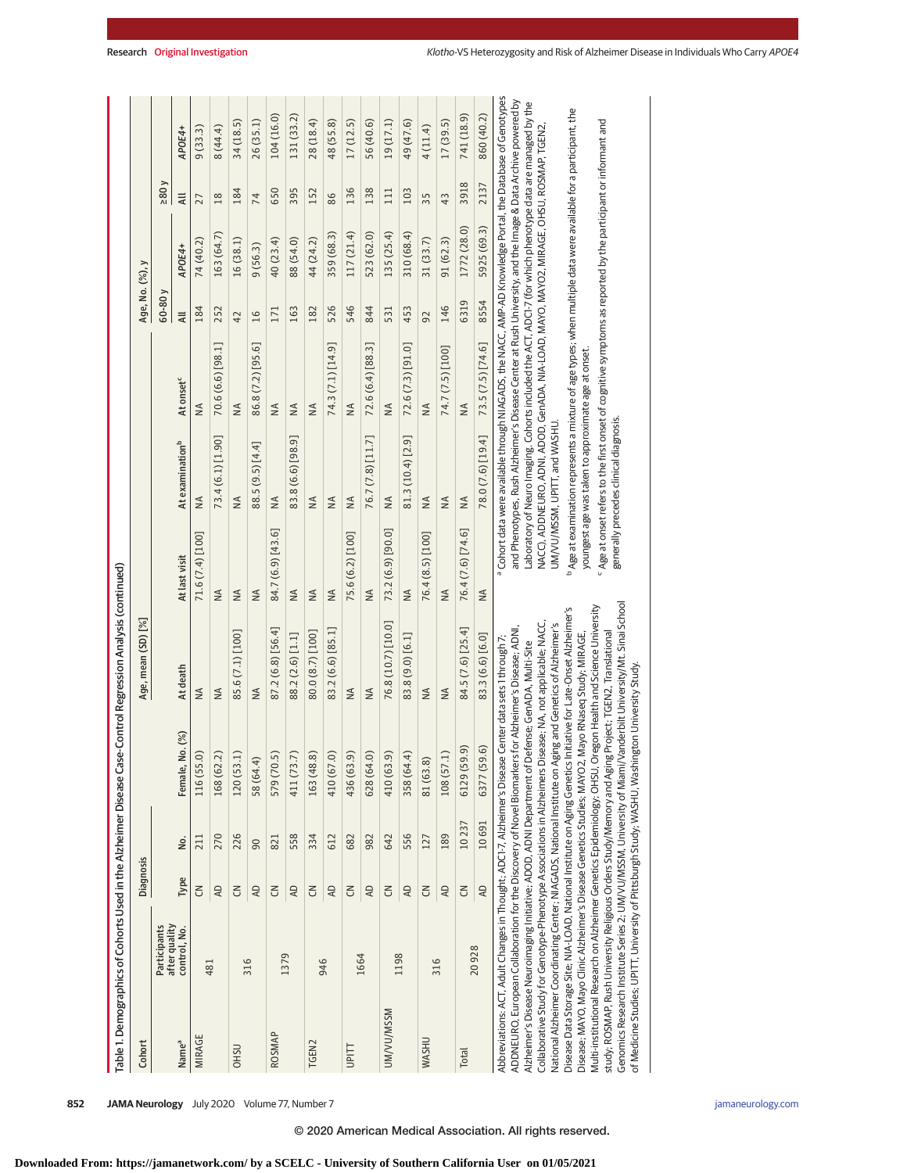|                   |                                                                                                                                                                                                                                                                                                    |                  |       |                                                                                                                                                                                                                                                                                                                                                                                                                                                                                                                                                                                                                                                   | Table 1. Demographics of Cohorts Used in the Alzheimer Disease Case-Control Regression Analysis (continued)                                                                                                                                                          |                   |                                                                                                                                                                                                                                                                                                                                                                                                                                                                                                                                                                                                                                                                                                                                                                                                                          |                       |                 |             |                 |            |
|-------------------|----------------------------------------------------------------------------------------------------------------------------------------------------------------------------------------------------------------------------------------------------------------------------------------------------|------------------|-------|---------------------------------------------------------------------------------------------------------------------------------------------------------------------------------------------------------------------------------------------------------------------------------------------------------------------------------------------------------------------------------------------------------------------------------------------------------------------------------------------------------------------------------------------------------------------------------------------------------------------------------------------------|----------------------------------------------------------------------------------------------------------------------------------------------------------------------------------------------------------------------------------------------------------------------|-------------------|--------------------------------------------------------------------------------------------------------------------------------------------------------------------------------------------------------------------------------------------------------------------------------------------------------------------------------------------------------------------------------------------------------------------------------------------------------------------------------------------------------------------------------------------------------------------------------------------------------------------------------------------------------------------------------------------------------------------------------------------------------------------------------------------------------------------------|-----------------------|-----------------|-------------|-----------------|------------|
| Cohort            |                                                                                                                                                                                                                                                                                                    | <b>Diagnosis</b> |       |                                                                                                                                                                                                                                                                                                                                                                                                                                                                                                                                                                                                                                                   | Age, mean (SD) [%]                                                                                                                                                                                                                                                   |                   |                                                                                                                                                                                                                                                                                                                                                                                                                                                                                                                                                                                                                                                                                                                                                                                                                          |                       | Age, No. (%), y |             |                 |            |
|                   | Participants                                                                                                                                                                                                                                                                                       |                  |       |                                                                                                                                                                                                                                                                                                                                                                                                                                                                                                                                                                                                                                                   |                                                                                                                                                                                                                                                                      |                   |                                                                                                                                                                                                                                                                                                                                                                                                                                                                                                                                                                                                                                                                                                                                                                                                                          |                       | $60 - 80y$      |             | $\times$ 082    |            |
| Name <sup>a</sup> | after quality<br>control, No.                                                                                                                                                                                                                                                                      | Type             | δ.    | No. (%)<br>Female,                                                                                                                                                                                                                                                                                                                                                                                                                                                                                                                                                                                                                                | At death                                                                                                                                                                                                                                                             | At last visit     | At examination <sup>b</sup>                                                                                                                                                                                                                                                                                                                                                                                                                                                                                                                                                                                                                                                                                                                                                                                              | At onset <sup>c</sup> | $\equiv$        | APOE4+      | $\equiv$        | APOE4+     |
| MIRAGE            |                                                                                                                                                                                                                                                                                                    | $\leq$           | 211   | 116 (55.0)                                                                                                                                                                                                                                                                                                                                                                                                                                                                                                                                                                                                                                        | $\frac{4}{2}$                                                                                                                                                                                                                                                        | 71.6 (7.4) [100]  | $\leq$                                                                                                                                                                                                                                                                                                                                                                                                                                                                                                                                                                                                                                                                                                                                                                                                                   | $\leq$                | 184             | 74 (40.2)   | 27              | 9(33.3)    |
|                   | 481                                                                                                                                                                                                                                                                                                | AD               | 270   | $\ddot{.}$<br>168 (62                                                                                                                                                                                                                                                                                                                                                                                                                                                                                                                                                                                                                             | $\frac{4}{2}$                                                                                                                                                                                                                                                        | $\leq$            | 73.4 (6.1) [1.90]                                                                                                                                                                                                                                                                                                                                                                                                                                                                                                                                                                                                                                                                                                                                                                                                        | 70.6 (6.6) [98.1]     | 252             | 163 (64.7)  | 18              | 8 (44.4)   |
| <b>OHSU</b>       |                                                                                                                                                                                                                                                                                                    | $\leq$           | 226   | 120(53.1)                                                                                                                                                                                                                                                                                                                                                                                                                                                                                                                                                                                                                                         | 85.6 (7.1) [100]                                                                                                                                                                                                                                                     | $\frac{4}{2}$     | $\leq$                                                                                                                                                                                                                                                                                                                                                                                                                                                                                                                                                                                                                                                                                                                                                                                                                   | $\leq$                | 42              | 16(38.1)    | 184             | 34 (18.5)  |
|                   | 316                                                                                                                                                                                                                                                                                                | AD               | 90    | 58 (64.4)                                                                                                                                                                                                                                                                                                                                                                                                                                                                                                                                                                                                                                         | $\leq$                                                                                                                                                                                                                                                               | $\leq$            | 88.5 (9.5) [4.4]                                                                                                                                                                                                                                                                                                                                                                                                                                                                                                                                                                                                                                                                                                                                                                                                         | 86.8 (7.2) [95.6]     | 16              | 9(56.3)     | $\overline{74}$ | 26(35.1)   |
| <b>ROSMAP</b>     |                                                                                                                                                                                                                                                                                                    | š                | 821   | $\tilde{5}$<br>579 (70                                                                                                                                                                                                                                                                                                                                                                                                                                                                                                                                                                                                                            | 87.2 (6.8) [56.4]                                                                                                                                                                                                                                                    | 84.7 (6.9) [43.6] | $\frac{4}{2}$                                                                                                                                                                                                                                                                                                                                                                                                                                                                                                                                                                                                                                                                                                                                                                                                            | $\frac{4}{\sqrt{2}}$  | 171             | 40 (23.4)   | 650             | 104 (16.0) |
|                   | 1379                                                                                                                                                                                                                                                                                               | $\overline{A}$   | 558   | 411 (73.7)                                                                                                                                                                                                                                                                                                                                                                                                                                                                                                                                                                                                                                        | 88.2 (2.6) [1.1]                                                                                                                                                                                                                                                     | $\leq$            | 83.8 (6.6) [98.9]                                                                                                                                                                                                                                                                                                                                                                                                                                                                                                                                                                                                                                                                                                                                                                                                        | $\leq$                | 163             | 88 (54.0)   | 395             | 131 (33.2) |
| TGEN <sub>2</sub> |                                                                                                                                                                                                                                                                                                    | $\leq$           | 334   | $\widehat{8}$<br>163 (48)                                                                                                                                                                                                                                                                                                                                                                                                                                                                                                                                                                                                                         | 80.0 (8.7) [100]                                                                                                                                                                                                                                                     | $\frac{4}{2}$     | $\leq$                                                                                                                                                                                                                                                                                                                                                                                                                                                                                                                                                                                                                                                                                                                                                                                                                   | $\leq$                | 182             | 44 (24.2)   | 152             | 28 (18.4)  |
|                   | 946                                                                                                                                                                                                                                                                                                | QV               | 612   | G.<br>410 (67                                                                                                                                                                                                                                                                                                                                                                                                                                                                                                                                                                                                                                     | 83.2 (6.6) [85.1]                                                                                                                                                                                                                                                    | $\leq$            | $\frac{4}{2}$                                                                                                                                                                                                                                                                                                                                                                                                                                                                                                                                                                                                                                                                                                                                                                                                            | 74.3 (7.1) [14.9]     | 526             | 359 (68.3)  | 86              | 48(55.8)   |
| <b>UPITT</b>      |                                                                                                                                                                                                                                                                                                    | $\leq$           | 682   | 436 (63.9)                                                                                                                                                                                                                                                                                                                                                                                                                                                                                                                                                                                                                                        | $\leq$                                                                                                                                                                                                                                                               | 75.6 (6.2) [100]  | $\leq$                                                                                                                                                                                                                                                                                                                                                                                                                                                                                                                                                                                                                                                                                                                                                                                                                   | ₹                     | 546             | 117(21.4)   | 136             | 17(12.5)   |
|                   | 1664                                                                                                                                                                                                                                                                                               | AD               | 982   | 628 (64.0)                                                                                                                                                                                                                                                                                                                                                                                                                                                                                                                                                                                                                                        | $\frac{4}{2}$                                                                                                                                                                                                                                                        | $\leq$            | 76.7 (7.8) [11.7]                                                                                                                                                                                                                                                                                                                                                                                                                                                                                                                                                                                                                                                                                                                                                                                                        | 72.6 (6.4) [88.3]     | 844             | 523 (62.0)  | 138             | 56 (40.6)  |
| UM/VU/MSSM        |                                                                                                                                                                                                                                                                                                    | $\leq$           | 642   | $\widehat{9}$<br>410 (63)                                                                                                                                                                                                                                                                                                                                                                                                                                                                                                                                                                                                                         | 76.8 (10.7) [10.0]                                                                                                                                                                                                                                                   | 73.2 (6.9) [90.0] | $\leq$                                                                                                                                                                                                                                                                                                                                                                                                                                                                                                                                                                                                                                                                                                                                                                                                                   | $\leq$                | 531             | 135 (25.4)  | 111             | 19(17.1)   |
|                   | 1198                                                                                                                                                                                                                                                                                               | QV               | 556   | 358 (64.4)                                                                                                                                                                                                                                                                                                                                                                                                                                                                                                                                                                                                                                        | 83.8 (9.0) [6.1]                                                                                                                                                                                                                                                     | $\leq$            | 81.3 (10.4) [2.9]                                                                                                                                                                                                                                                                                                                                                                                                                                                                                                                                                                                                                                                                                                                                                                                                        | 72.6 (7.3) [91.0]     | 453             | 310 (68.4)  | 103             | 49 (47.6)  |
| WASHU             |                                                                                                                                                                                                                                                                                                    | $\leq$           | 127   | 81 (63.8)                                                                                                                                                                                                                                                                                                                                                                                                                                                                                                                                                                                                                                         | $\leq$                                                                                                                                                                                                                                                               | 76.4 (8.5) [100]  | $\leq$                                                                                                                                                                                                                                                                                                                                                                                                                                                                                                                                                                                                                                                                                                                                                                                                                   | $\frac{4}{2}$         | 92              | 31(33.7)    | 35              | 4(11.4)    |
|                   | 316                                                                                                                                                                                                                                                                                                | AD               | 189   | $\widehat{H}$<br>108 (57                                                                                                                                                                                                                                                                                                                                                                                                                                                                                                                                                                                                                          | $\leq$                                                                                                                                                                                                                                                               | $\frac{4}{2}$     | $\frac{4}{2}$                                                                                                                                                                                                                                                                                                                                                                                                                                                                                                                                                                                                                                                                                                                                                                                                            | 74.7 (7.5) [100]      | 146             | 91(62.3)    | 43              | 17(39.5)   |
| Total             |                                                                                                                                                                                                                                                                                                    | $\leq$           | 10237 | 6129 (59.9)                                                                                                                                                                                                                                                                                                                                                                                                                                                                                                                                                                                                                                       | 84.5 (7.6) [25.4]                                                                                                                                                                                                                                                    | 76.4 (7.6) [74.6] | $\leq$                                                                                                                                                                                                                                                                                                                                                                                                                                                                                                                                                                                                                                                                                                                                                                                                                   | $\leq$                | 6319            | 1772 (28.0) | 3918            | 741 (18.9) |
|                   | 20928                                                                                                                                                                                                                                                                                              | AD               | 10691 | 6377 (59.6)                                                                                                                                                                                                                                                                                                                                                                                                                                                                                                                                                                                                                                       | 83.3 (6.6) [6.0]                                                                                                                                                                                                                                                     | $\leq$            | 78.0 (7.6) [19.4]                                                                                                                                                                                                                                                                                                                                                                                                                                                                                                                                                                                                                                                                                                                                                                                                        | 73.5 (7.5) [74.6]     | 8554            | 5925 (69.3) | 2137            | 860 (40.2) |
|                   | Alzheimer's Disease Neuroimaging Initiative; ADOD, ADNI Department of<br>study; ROSMAP, Rush University Religious Orders Study/Memory and Agir<br>Genomics Research Institute Series 2; UM/VU/MSSM, University of Miami,<br>Multi-institutional Research on Alzheimer Genetics Epidemiology; OHSU, |                  |       | Collaborative Study for Genotype-Phenotype Associations in Alzheimers Disease; NA, not applicable; NACC,<br>National Alzheimer Coordinating Center; NIAGADS, National Institute on Aging and Genetics of Alzheimer's<br>ADDNEURO, European Collaboration for the Discovery of Novel Biomarkers for Alzheimer's Disease; ADNI,<br>Disease; MAYO, Mayo Clinic Alzheimer's Disease Genetics Studies; MAYO2, Mayo RNaseq Study; MIRAGE,<br>Abbreviations: ACT, Adult Changes in Thought: ADCI-7, Alzheimer's Disease Center data sets 1 through 7;<br>of Medicine Studies; UPITT, University of Pittsburgh Study; WASHU, Washington University Study, | Nanderbilt University/Mt. Sinai School<br>Oregon Health and Science University<br>Disease Data Storage Site: NIA-LOAD, National Institute on Aging Genetics Initiative for Late-Onset Alzheimer's<br>ng Project; TGEN2, Translational<br>Defense; GenADA, Multi-Site |                   | Cohort data were available through NIAGADS, the NACC, AMP-AD Knowledge Portal, the Database of Genotypes<br>and Phenotypes, Rush Alzheimer's Disease Center at Rush University, and the Image & Data Archive powered by<br>Laboratory of Neuro Imaging. Cohorts included the ACT, ADCI-7 (for which phenotype data are managed by the<br><sup>b</sup> Age at examination represents a mixture of age types; when multiple data were available for a participant, the<br><sup>c</sup> Age at onset refers to the first onset of cognitive symptoms as reported by the participant or informant and<br>NACC), ADDNEURO, ADNI, ADOD, GenADA, NIA-LOAD, MAYO, MIAAGE, OHSU, ROSMAP, TGEN2,<br>youngest age was taken to approximate age at onset.<br>generally precedes clinical diagnosis.<br>UM/VU/MSSM, UPITT, and WASHU. |                       |                 |             |                 |            |

**852 JAMA Neurology** July 2020 Volume 77, Number 7 **(Reprinted)** and the printed of the state of the state of the state of the state of the state of the state of the state of the state of the state of the state of the stat

**Downloaded From: https://jamanetwork.com/ by a SCELC - University of Southern California User on 01/05/2021**

| Department of Containing Household and Con- |  |
|---------------------------------------------|--|
|                                             |  |
|                                             |  |
|                                             |  |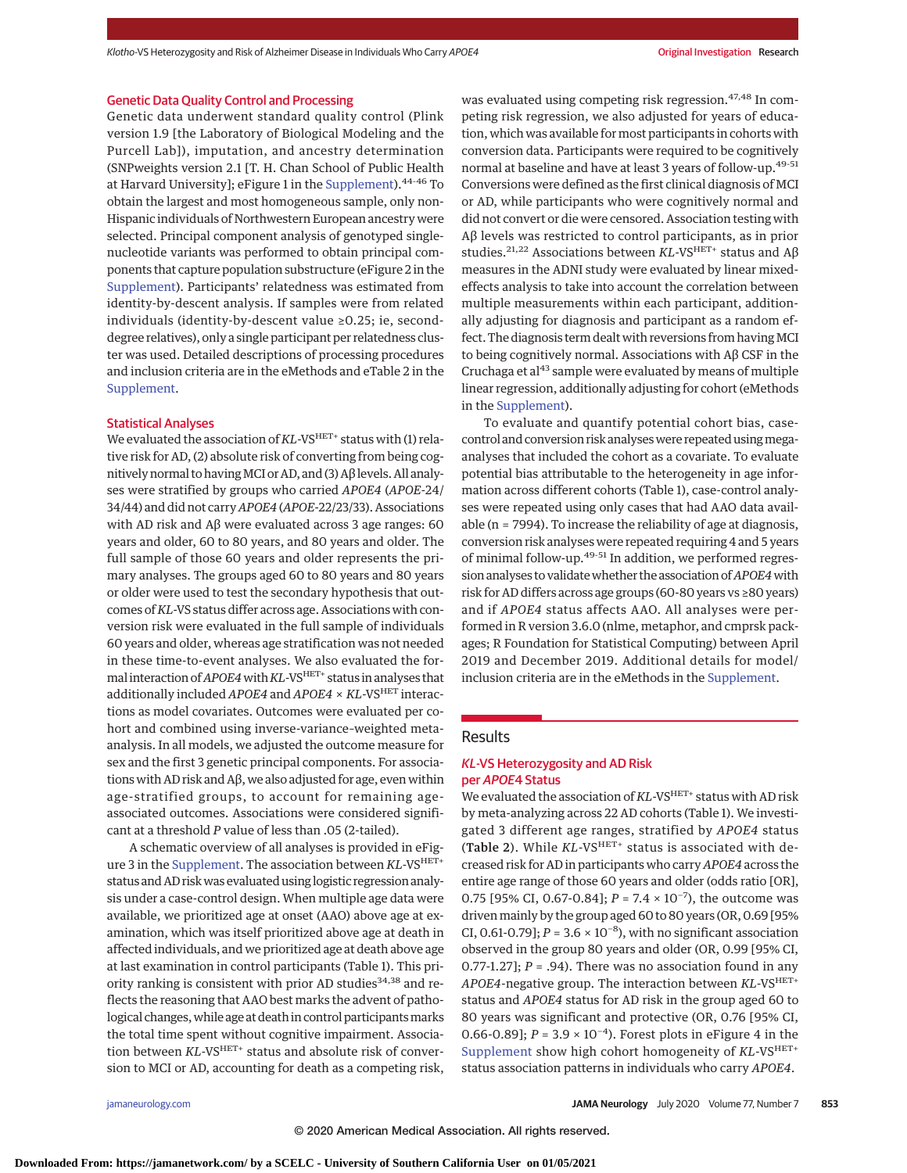#### Genetic Data Quality Control and Processing

Genetic data underwent standard quality control (Plink version 1.9 [the Laboratory of Biological Modeling and the Purcell Lab]), imputation, and ancestry determination (SNPweights version 2.1 [T. H. Chan School of Public Health at Harvard University]; eFigure 1 in the [Supplement\)](https://jamanetwork.com/journals/jama/fullarticle/10.1001/jamaneurol.2020.0414?utm_campaign=articlePDF%26utm_medium=articlePDFlink%26utm_source=articlePDF%26utm_content=jamaneurol.2020.0414).<sup>44-46</sup> To obtain the largest and most homogeneous sample, only non-Hispanic individuals of Northwestern European ancestry were selected. Principal component analysis of genotyped singlenucleotide variants was performed to obtain principal components that capture population substructure (eFigure 2 in the [Supplement\)](https://jamanetwork.com/journals/jama/fullarticle/10.1001/jamaneurol.2020.0414?utm_campaign=articlePDF%26utm_medium=articlePDFlink%26utm_source=articlePDF%26utm_content=jamaneurol.2020.0414). Participants' relatedness was estimated from identity-by-descent analysis. If samples were from related individuals (identity-by-descent value ≥0.25; ie, seconddegree relatives), only a single participant per relatedness cluster was used. Detailed descriptions of processing procedures and inclusion criteria are in the eMethods and eTable 2 in the [Supplement.](https://jamanetwork.com/journals/jama/fullarticle/10.1001/jamaneurol.2020.0414?utm_campaign=articlePDF%26utm_medium=articlePDFlink%26utm_source=articlePDF%26utm_content=jamaneurol.2020.0414)

#### Statistical Analyses

We evaluated the association of *KL*-VS<sup>HET+</sup> status with (1) relative risk for AD, (2) absolute risk of converting from being cognitively normal to havingMCI or AD, and (3) Aβ levels. All analyses were stratified by groups who carried *APOE4* (*APOE*-24/ 34/44) and did not carry *APOE4*(*APOE*-22/23/33). Associations with AD risk and Aβ were evaluated across 3 age ranges: 60 years and older, 60 to 80 years, and 80 years and older. The full sample of those 60 years and older represents the primary analyses. The groups aged 60 to 80 years and 80 years or older were used to test the secondary hypothesis that outcomes of *KL*-VS status differ across age. Associations with conversion risk were evaluated in the full sample of individuals 60 years and older, whereas age stratification was not needed in these time-to-event analyses. We also evaluated the formal interaction of*APOE4*with*KL*-VSHET+ status in analyses that additionally included *APOE4* and *APOE4* × *KL*-VSHET interactions as model covariates. Outcomes were evaluated per cohort and combined using inverse-variance–weighted metaanalysis. In all models, we adjusted the outcome measure for sex and the first 3 genetic principal components. For associations with AD risk and Aβ, we also adjusted for age, even within age-stratified groups, to account for remaining ageassociated outcomes. Associations were considered significant at a threshold *P* value of less than .05 (2-tailed).

A schematic overview of all analyses is provided in eFigure 3 in the [Supplement.](https://jamanetwork.com/journals/jama/fullarticle/10.1001/jamaneurol.2020.0414?utm_campaign=articlePDF%26utm_medium=articlePDFlink%26utm_source=articlePDF%26utm_content=jamaneurol.2020.0414) The association between *KL*-VSHET+ status and AD riskwas evaluated using logistic regression analysis under a case-control design. When multiple age data were available, we prioritized age at onset (AAO) above age at examination, which was itself prioritized above age at death in affected individuals, and we prioritized age at death above age at last examination in control participants (Table 1). This priority ranking is consistent with prior AD studies<sup>34,38</sup> and reflects the reasoning that AAO best marks the advent of pathological changes, while age at death in control participants marks the total time spent without cognitive impairment. Association between *KL*-VS<sup>HET+</sup> status and absolute risk of conversion to MCI or AD, accounting for death as a competing risk,

was evaluated using competing risk regression.<sup>47,48</sup> In competing risk regression, we also adjusted for years of education, which was available for most participants in cohorts with conversion data. Participants were required to be cognitively normal at baseline and have at least 3 years of follow-up.<sup>49-51</sup> Conversions were defined as the first clinical diagnosis of MCI or AD, while participants who were cognitively normal and did not convert or die were censored. Association testing with Aβ levels was restricted to control participants, as in prior studies.<sup>21,22</sup> Associations between *KL*-VS<sup>HET+</sup> status and Aβ measures in the ADNI study were evaluated by linear mixedeffects analysis to take into account the correlation between multiple measurements within each participant, additionally adjusting for diagnosis and participant as a random effect. The diagnosis term dealt with reversions from having MCI to being cognitively normal. Associations with Aβ CSF in the Cruchaga et al $43$  sample were evaluated by means of multiple linear regression, additionally adjusting for cohort (eMethods in the [Supplement\)](https://jamanetwork.com/journals/jama/fullarticle/10.1001/jamaneurol.2020.0414?utm_campaign=articlePDF%26utm_medium=articlePDFlink%26utm_source=articlePDF%26utm_content=jamaneurol.2020.0414).

To evaluate and quantify potential cohort bias, casecontrol and conversion risk analyses were repeated using megaanalyses that included the cohort as a covariate. To evaluate potential bias attributable to the heterogeneity in age information across different cohorts (Table 1), case-control analyses were repeated using only cases that had AAO data available (n = 7994). To increase the reliability of age at diagnosis, conversion risk analyses were repeated requiring 4 and 5 years of minimal follow-up.<sup>49-51</sup> In addition, we performed regression analyses to validatewhether the association of*APOE4*with risk for AD differs across age groups (60-80 years vs ≥80 years) and if *APOE4* status affects AAO. All analyses were performed in R version 3.6.0 (nlme, metaphor, and cmprsk packages; R Foundation for Statistical Computing) between April 2019 and December 2019. Additional details for model/ inclusion criteria are in the eMethods in the [Supplement.](https://jamanetwork.com/journals/jama/fullarticle/10.1001/jamaneurol.2020.0414?utm_campaign=articlePDF%26utm_medium=articlePDFlink%26utm_source=articlePDF%26utm_content=jamaneurol.2020.0414)

#### Results

#### KL-VS Heterozygosity and AD Risk per APOE4 Status

We evaluated the association of *KL*-VS<sup>HET+</sup> status with AD risk by meta-analyzing across 22 AD cohorts (Table 1). We investigated 3 different age ranges, stratified by *APOE4* status (Table 2). While KL-VS<sup>HET+</sup> status is associated with decreased risk for AD in participants who carry *APOE4* across the entire age range of those 60 years and older (odds ratio [OR], 0.75 [95% CI, 0.67-0.84]; *P* = 7.4 × 10−7), the outcome was driven mainly by the group aged 60 to 80 years (OR, 0.69 [95% CI, 0.61-0.79];  $P = 3.6 \times 10^{-8}$ , with no significant association observed in the group 80 years and older (OR, 0.99 [95% CI, 0.77-1.27]; *P* = .94). There was no association found in any *APOE4*-negative group. The interaction between *KL*-VSHET+ status and *APOE4* status for AD risk in the group aged 60 to 80 years was significant and protective (OR, 0.76 [95% CI, 0.66-0.89]; *P* = 3.9 × 10−4). Forest plots in eFigure 4 in the [Supplement](https://jamanetwork.com/journals/jama/fullarticle/10.1001/jamaneurol.2020.0414?utm_campaign=articlePDF%26utm_medium=articlePDFlink%26utm_source=articlePDF%26utm_content=jamaneurol.2020.0414) show high cohort homogeneity of KL-VS<sup>HET+</sup> status association patterns in individuals who carry *APOE4*.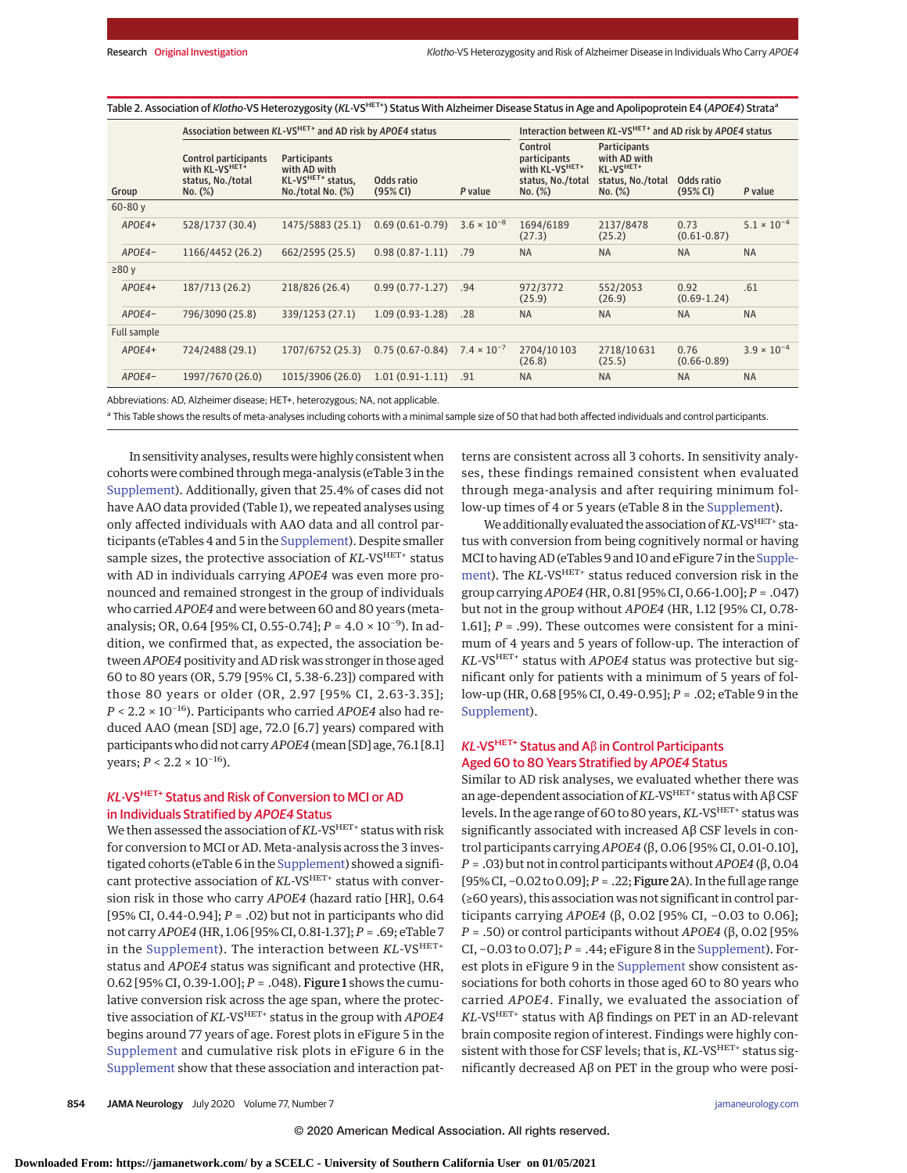|             | Association between KL-VS <sup>HET+</sup> and AD risk by APOE4 status  |                                                                                    |                        |                      | Interaction between KL-VS <sup>HET+</sup> and AD risk by APOE4 status        |                                                                                  |                         |                      |  |
|-------------|------------------------------------------------------------------------|------------------------------------------------------------------------------------|------------------------|----------------------|------------------------------------------------------------------------------|----------------------------------------------------------------------------------|-------------------------|----------------------|--|
| Group       | Control participants<br>with KL-VSHET+<br>status, No./total<br>No. (%) | <b>Participants</b><br>with AD with<br>KL-VSHET+ status,<br>$No. / total No. (\%)$ | Odds ratio<br>(95% CI) | P value              | Control<br>participants<br>with KL-VSHET+<br>status, No./total<br>$No. (\%)$ | <b>Participants</b><br>with AD with<br>KL-VSHET+<br>status, No./total<br>No. (%) | Odds ratio<br>(95% CI)  | P value              |  |
| $60 - 80y$  |                                                                        |                                                                                    |                        |                      |                                                                              |                                                                                  |                         |                      |  |
| APOE4+      | 528/1737 (30.4)                                                        | 1475/5883 (25.1)                                                                   | $0.69(0.61-0.79)$      | $3.6 \times 10^{-8}$ | 1694/6189<br>(27.3)                                                          | 2137/8478<br>(25.2)                                                              | 0.73<br>$(0.61 - 0.87)$ | $5.1 \times 10^{-4}$ |  |
| $APOE4-$    | 1166/4452 (26.2)                                                       | 662/2595 (25.5)                                                                    | $0.98(0.87 - 1.11)$    | .79                  | <b>NA</b>                                                                    | <b>NA</b>                                                                        | <b>NA</b>               | <b>NA</b>            |  |
| $\geq 80$ y |                                                                        |                                                                                    |                        |                      |                                                                              |                                                                                  |                         |                      |  |
| APOE4+      | 187/713 (26.2)                                                         | 218/826 (26.4)                                                                     | $0.99(0.77-1.27)$      | .94                  | 972/3772<br>(25.9)                                                           | 552/2053<br>(26.9)                                                               | 0.92<br>$(0.69 - 1.24)$ | .61                  |  |
| $APOE4-$    | 796/3090 (25.8)                                                        | 339/1253 (27.1)                                                                    | $1.09(0.93-1.28)$      | .28                  | <b>NA</b>                                                                    | <b>NA</b>                                                                        | <b>NA</b>               | <b>NA</b>            |  |
| Full sample |                                                                        |                                                                                    |                        |                      |                                                                              |                                                                                  |                         |                      |  |
| APOE4+      | 724/2488 (29.1)                                                        | 1707/6752 (25.3)                                                                   | $0.75(0.67-0.84)$      | $7.4 \times 10^{-7}$ | 2704/10 103<br>(26.8)                                                        | 2718/10631<br>(25.5)                                                             | 0.76<br>$(0.66 - 0.89)$ | $3.9 \times 10^{-4}$ |  |
| APOE4-      | 1997/7670 (26.0)                                                       | 1015/3906 (26.0)                                                                   | $1.01(0.91-1.11)$      | .91                  | <b>NA</b>                                                                    | <b>NA</b>                                                                        | <b>NA</b>               | <b>NA</b>            |  |

Table 2. Association of Klotho-VS Heterozygosity (KL-VS<sup>HET+</sup>) Status With Alzheimer Disease Status in Age and Apolipoprotein E4 (APOE4) Strata<sup>a</sup>

Abbreviations: AD, Alzheimer disease; HET+, heterozygous; NA, not applicable.

a This Table shows the results of meta-analyses including cohorts with a minimal sample size of 50 that had both affected individuals and control participants.

In sensitivity analyses, results were highly consistent when cohorts were combined through mega-analysis (eTable 3 in the [Supplement\)](https://jamanetwork.com/journals/jama/fullarticle/10.1001/jamaneurol.2020.0414?utm_campaign=articlePDF%26utm_medium=articlePDFlink%26utm_source=articlePDF%26utm_content=jamaneurol.2020.0414). Additionally, given that 25.4% of cases did not have AAO data provided (Table 1), we repeated analyses using only affected individuals with AAO data and all control participants (eTables 4 and 5 in the [Supplement\)](https://jamanetwork.com/journals/jama/fullarticle/10.1001/jamaneurol.2020.0414?utm_campaign=articlePDF%26utm_medium=articlePDFlink%26utm_source=articlePDF%26utm_content=jamaneurol.2020.0414). Despite smaller sample sizes, the protective association of  $KL$ -VS<sup>HET+</sup> status with AD in individuals carrying *APOE4* was even more pronounced and remained strongest in the group of individuals who carried *APOE4* and were between 60 and 80 years (metaanalysis; OR, 0.64 [95% CI, 0.55-0.74]; *P* = 4.0 × 10−9). In addition, we confirmed that, as expected, the association between *APOE4*positivity and AD risk was stronger in those aged 60 to 80 years (OR, 5.79 [95% CI, 5.38-6.23]) compared with those 80 years or older (OR, 2.97 [95% CI, 2.63-3.35]; *P* < 2.2 × 10−16). Participants who carried *APOE4* also had reduced AAO (mean [SD] age, 72.0 [6.7] years) compared with participants who did not carry *APOE4*(mean [SD] age, 76.1 [8.1] years;  $P < 2.2 \times 10^{-16}$ ).

## KL-VSHET+ Status and Risk of Conversion to MCI or AD in Individuals Stratified by APOE4 Status

We then assessed the association of *KL*-VS<sup>HET+</sup> status with risk for conversion to MCI or AD. Meta-analysis across the 3 investigated cohorts (eTable 6 in the [Supplement\)](https://jamanetwork.com/journals/jama/fullarticle/10.1001/jamaneurol.2020.0414?utm_campaign=articlePDF%26utm_medium=articlePDFlink%26utm_source=articlePDF%26utm_content=jamaneurol.2020.0414) showed a significant protective association of *KL*-VS<sup>HET+</sup> status with conversion risk in those who carry *APOE4* (hazard ratio [HR], 0.64 [95% CI, 0.44-0.94]; *P* = .02) but not in participants who did not carry *APOE4*(HR, 1.06 [95% CI, 0.81-1.37];*P* = .69; eTable 7 in the [Supplement\)](https://jamanetwork.com/journals/jama/fullarticle/10.1001/jamaneurol.2020.0414?utm_campaign=articlePDF%26utm_medium=articlePDFlink%26utm_source=articlePDF%26utm_content=jamaneurol.2020.0414). The interaction between *KL*-VS<sup>HET+</sup> status and *APOE4* status was significant and protective (HR, 0.62 [95% CI, 0.39-1.00]; *P* = .048). Figure 1 shows the cumulative conversion risk across the age span, where the protective association of *KL*-VSHET+ status in the group with *APOE4* begins around 77 years of age. Forest plots in eFigure 5 in the [Supplement](https://jamanetwork.com/journals/jama/fullarticle/10.1001/jamaneurol.2020.0414?utm_campaign=articlePDF%26utm_medium=articlePDFlink%26utm_source=articlePDF%26utm_content=jamaneurol.2020.0414) and cumulative risk plots in eFigure 6 in the [Supplement](https://jamanetwork.com/journals/jama/fullarticle/10.1001/jamaneurol.2020.0414?utm_campaign=articlePDF%26utm_medium=articlePDFlink%26utm_source=articlePDF%26utm_content=jamaneurol.2020.0414) show that these association and interaction pat-

terns are consistent across all 3 cohorts. In sensitivity analyses, these findings remained consistent when evaluated through mega-analysis and after requiring minimum follow-up times of 4 or 5 years (eTable 8 in the [Supplement\)](https://jamanetwork.com/journals/jama/fullarticle/10.1001/jamaneurol.2020.0414?utm_campaign=articlePDF%26utm_medium=articlePDFlink%26utm_source=articlePDF%26utm_content=jamaneurol.2020.0414).

We additionally evaluated the association of *KL*-VSHET+ status with conversion from being cognitively normal or having MCI to having AD (eTables 9 and 10 and eFigure 7 in the [Supple](https://jamanetwork.com/journals/jama/fullarticle/10.1001/jamaneurol.2020.0414?utm_campaign=articlePDF%26utm_medium=articlePDFlink%26utm_source=articlePDF%26utm_content=jamaneurol.2020.0414)[ment\)](https://jamanetwork.com/journals/jama/fullarticle/10.1001/jamaneurol.2020.0414?utm_campaign=articlePDF%26utm_medium=articlePDFlink%26utm_source=articlePDF%26utm_content=jamaneurol.2020.0414). The *KL*-VS<sup>HET+</sup> status reduced conversion risk in the group carrying *APOE4* (HR, 0.81 [95% CI, 0.66-1.00]; *P* = .047) but not in the group without *APOE4* (HR, 1.12 [95% CI, 0.78- 1.61]; *P* = .99). These outcomes were consistent for a minimum of 4 years and 5 years of follow-up. The interaction of *KL*-VSHET+ status with *APOE4* status was protective but significant only for patients with a minimum of 5 years of follow-up (HR, 0.68 [95% CI, 0.49-0.95]; *P* = .02; eTable 9 in the [Supplement\)](https://jamanetwork.com/journals/jama/fullarticle/10.1001/jamaneurol.2020.0414?utm_campaign=articlePDF%26utm_medium=articlePDFlink%26utm_source=articlePDF%26utm_content=jamaneurol.2020.0414).

## KL-VS<sup>HET+</sup> Status and Aβ in Control Participants Aged 60 to 80 Years Stratified by APOE4 Status

Similar to AD risk analyses, we evaluated whether there was an age-dependent association of *KL*-VSHET+ status with Aβ CSF levels. In the age range of 60 to 80 years, *KL*-VSHET+ status was significantly associated with increased Aβ CSF levels in control participants carrying *APOE4* (β, 0.06 [95% CI, 0.01-0.10], *P* = .03) but not in control participants without *APOE4* (β, 0.04 [95% CI, −0.02 to 0.09];*P* = .22;Figure 2A). In the full age range (≥60 years), this association was not significant in control participants carrying *APOE4* (β, 0.02 [95% CI, −0.03 to 0.06]; *P* = .50) or control participants without *APOE4* (β, 0.02 [95% CI, −0.03 to 0.07]; *P* = .44; eFigure 8 in the [Supplement\)](https://jamanetwork.com/journals/jama/fullarticle/10.1001/jamaneurol.2020.0414?utm_campaign=articlePDF%26utm_medium=articlePDFlink%26utm_source=articlePDF%26utm_content=jamaneurol.2020.0414). Forest plots in eFigure 9 in the [Supplement](https://jamanetwork.com/journals/jama/fullarticle/10.1001/jamaneurol.2020.0414?utm_campaign=articlePDF%26utm_medium=articlePDFlink%26utm_source=articlePDF%26utm_content=jamaneurol.2020.0414) show consistent associations for both cohorts in those aged 60 to 80 years who carried *APOE4*. Finally, we evaluated the association of *KL*-VSHET+ status with Aβ findings on PET in an AD-relevant brain composite region of interest. Findings were highly consistent with those for CSF levels; that is, *KL*-VS<sup>HET+</sup> status significantly decreased Aβ on PET in the group who were posi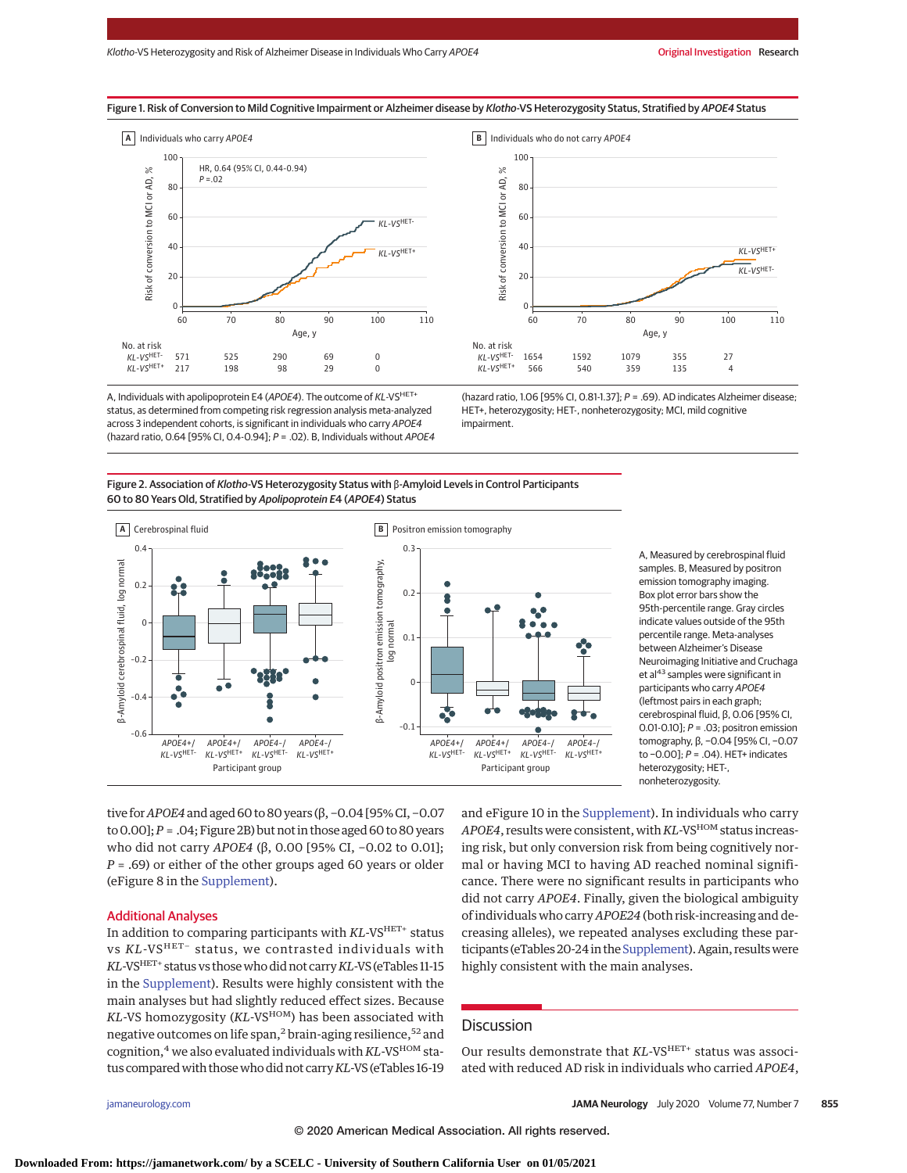Figure 1. Risk of Conversion to Mild Cognitive Impairment or Alzheimer disease by Klotho-VS Heterozygosity Status, Stratified by APOE4 Status



A, Individuals with apolipoprotein E4 (APOE4). The outcome of  $KL\text{-}VS^{HET+}$ status, as determined from competing risk regression analysis meta-analyzed across 3 independent cohorts, is significant in individuals who carry APOE4 (hazard ratio, 0.64 [95% CI, 0.4-0.94]; P = .02). B, Individuals without APOE4



(hazard ratio, 1.06 [95% CI, 0.81-1.37]; P = .69). AD indicates Alzheimer disease; HET+, heterozygosity; HET-, nonheterozygosity; MCI, mild cognitive impairment.

Figure 2. Association of Klotho-VS Heterozygosity Status with β-Amyloid Levels in Control Participants 60 to 80 Years Old, Stratified by Apolipoprotein E4 (APOE4) Status



A, Measured by cerebrospinal fluid samples. B, Measured by positron emission tomography imaging. Box plot error bars show the 95th-percentile range. Gray circles indicate values outside of the 95th percentile range. Meta-analyses between Alzheimer's Disease Neuroimaging Initiative and Cruchaga et al<sup>43</sup> samples were significant in participants who carry APOE4 (leftmost pairs in each graph; cerebrospinal fluid, β, 0.06 [95% CI, 0.01-0.101;  $P = .03$ ; positron emission tomography, β, −0.04 [95% CI, −0.07 to −0.00]; P = .04). HET+ indicates heterozygosity; HET-, nonheterozygosity.

tive for *APOE4*and aged 60 to 80 years (β, −0.04 [95% CI, −0.07 to 0.00];*P* = .04; Figure 2B) but not in those aged 60 to 80 years who did not carry *APOE4* (β, 0.00 [95% CI, −0.02 to 0.01]; *P* = .69) or either of the other groups aged 60 years or older (eFigure 8 in the [Supplement\)](https://jamanetwork.com/journals/jama/fullarticle/10.1001/jamaneurol.2020.0414?utm_campaign=articlePDF%26utm_medium=articlePDFlink%26utm_source=articlePDF%26utm_content=jamaneurol.2020.0414).

#### Additional Analyses

In addition to comparing participants with *KL*-VS<sup>HET+</sup> status vs *KL*-VSHET− status, we contrasted individuals with *KL*-VSHET+ status vs thosewho did not carry*KL*-VS (eTables 11-15 in the [Supplement\)](https://jamanetwork.com/journals/jama/fullarticle/10.1001/jamaneurol.2020.0414?utm_campaign=articlePDF%26utm_medium=articlePDFlink%26utm_source=articlePDF%26utm_content=jamaneurol.2020.0414). Results were highly consistent with the main analyses but had slightly reduced effect sizes. Because KL-VS homozygosity (KL-VS<sup>HOM</sup>) has been associated with negative outcomes on life span,<sup>2</sup> brain-aging resilience,<sup>52</sup> and cognition,<sup>4</sup> we also evaluated individuals with *KL*-VS<sup>HOM</sup> status comparedwith thosewho did not carry*KL*-VS (eTables 16-19

and eFigure 10 in the [Supplement\)](https://jamanetwork.com/journals/jama/fullarticle/10.1001/jamaneurol.2020.0414?utm_campaign=articlePDF%26utm_medium=articlePDFlink%26utm_source=articlePDF%26utm_content=jamaneurol.2020.0414). In individuals who carry *APOE4*, results were consistent, with *KL*-VSHOM status increasing risk, but only conversion risk from being cognitively normal or having MCI to having AD reached nominal significance. There were no significant results in participants who did not carry *APOE4*. Finally, given the biological ambiguity of individuals who carry *APOE24* (both risk-increasing and decreasing alleles), we repeated analyses excluding these participants (eTables 20-24 in the Supplement). Again, results were highly consistent with the main analyses.

### Discussion

Our results demonstrate that *KL*-VS<sup>HET+</sup> status was associated with reduced AD risk in individuals who carried *APOE4*,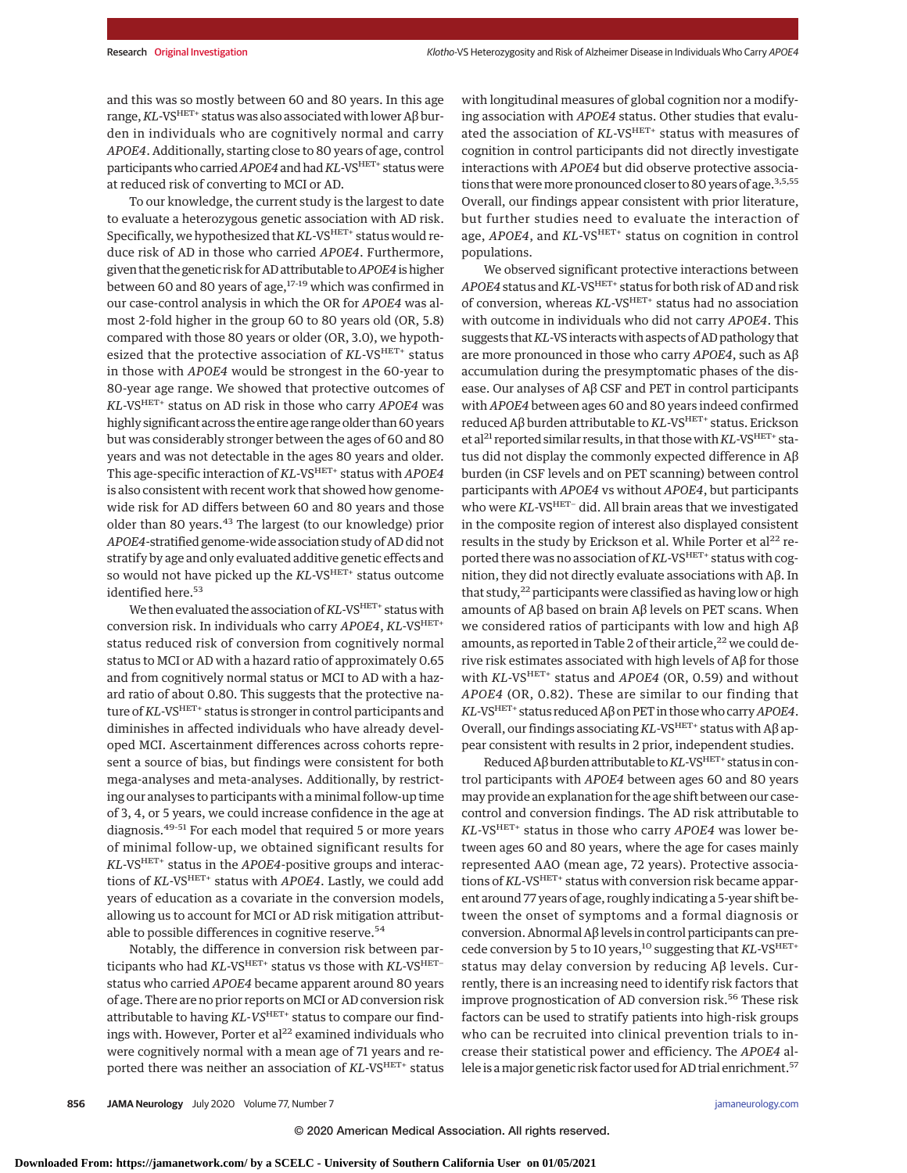and this was so mostly between 60 and 80 years. In this age range, *KL*-VSHET+ status was also associated with lower Aβ burden in individuals who are cognitively normal and carry *APOE4*. Additionally, starting close to 80 years of age, control participants who carried *APOE4* and had *KL*-VS<sup>HET+</sup> status were at reduced risk of converting to MCI or AD.

To our knowledge, the current study is the largest to date to evaluate a heterozygous genetic association with AD risk. Specifically, we hypothesized that *KL*-VS<sup>HET+</sup> status would reduce risk of AD in those who carried *APOE4*. Furthermore, given that the genetic risk for AD attributable to*APOE4*is higher between 60 and 80 years of age,<sup>17-19</sup> which was confirmed in our case-control analysis in which the OR for *APOE4* was almost 2-fold higher in the group 60 to 80 years old (OR, 5.8) compared with those 80 years or older (OR, 3.0), we hypothesized that the protective association of *KL*-VSHET+ status in those with *APOE4* would be strongest in the 60-year to 80-year age range. We showed that protective outcomes of *KL*-VSHET+ status on AD risk in those who carry *APOE4* was highly significant across the entire age range older than 60 years but was considerably stronger between the ages of 60 and 80 years and was not detectable in the ages 80 years and older. This age-specific interaction of *KL*-VSHET+ status with *APOE4* is also consistent with recent work that showed how genomewide risk for AD differs between 60 and 80 years and those older than 80 years.<sup>43</sup> The largest (to our knowledge) prior *APOE4*-stratified genome-wide association study of AD did not stratify by age and only evaluated additive genetic effects and so would not have picked up the *KL*-VS<sup>HET+</sup> status outcome identified here.<sup>53</sup>

We then evaluated the association of *KL*-VSHET+ status with conversion risk. In individuals who carry *APOE4*, *KL*-VSHET+ status reduced risk of conversion from cognitively normal status to MCI or AD with a hazard ratio of approximately 0.65 and from cognitively normal status or MCI to AD with a hazard ratio of about 0.80. This suggests that the protective nature of *KL*-VSHET+ status is stronger in control participants and diminishes in affected individuals who have already developed MCI. Ascertainment differences across cohorts represent a source of bias, but findings were consistent for both mega-analyses and meta-analyses. Additionally, by restricting our analyses to participants with a minimal follow-up time of 3, 4, or 5 years, we could increase confidence in the age at diagnosis.49-51 For each model that required 5 or more years of minimal follow-up, we obtained significant results for *KL*-VSHET+ status in the *APOE4*-positive groups and interactions of *KL*-VSHET+ status with *APOE4*. Lastly, we could add years of education as a covariate in the conversion models, allowing us to account for MCI or AD risk mitigation attributable to possible differences in cognitive reserve.<sup>54</sup>

Notably, the difference in conversion risk between participants who had *KL*-VSHET+ status vs those with *KL*-VSHET− status who carried *APOE4* became apparent around 80 years of age. There are no prior reports on MCI or AD conversion risk attributable to having *KL*-*VS*HET+ status to compare our findings with. However, Porter et al<sup>22</sup> examined individuals who were cognitively normal with a mean age of 71 years and reported there was neither an association of *KL*-VS<sup>HET+</sup> status with longitudinal measures of global cognition nor a modifying association with *APOE4* status. Other studies that evaluated the association of *KL*-VS<sup>HET+</sup> status with measures of cognition in control participants did not directly investigate interactions with *APOE4* but did observe protective associations that were more pronounced closer to 80 years of age.<sup>3,5,55</sup> Overall, our findings appear consistent with prior literature, but further studies need to evaluate the interaction of age, *APOE4*, and *KL*-VS<sup>HET+</sup> status on cognition in control populations.

We observed significant protective interactions between *APOE4* status and *KL*-VSHET+ status for both risk of AD and risk of conversion, whereas *KL*-VSHET+ status had no association with outcome in individuals who did not carry *APOE4*. This suggests that *KL*-VS interacts with aspects of AD pathology that are more pronounced in those who carry *APOE4*, such as Aβ accumulation during the presymptomatic phases of the disease. Our analyses of Aβ CSF and PET in control participants with *APOE4* between ages 60 and 80 years indeed confirmed reduced Aβ burden attributable to *KL*-VS<sup>HET+</sup> status. Erickson et al<sup>21</sup> reported similar results, in that those with *KL*-VS<sup>HET+</sup> status did not display the commonly expected difference in Aβ burden (in CSF levels and on PET scanning) between control participants with *APOE4* vs without *APOE4*, but participants who were *KL*-VSHET− did. All brain areas that we investigated in the composite region of interest also displayed consistent results in the study by Erickson et al. While Porter et al<sup>22</sup> reported there was no association of *KL*-VS<sup>HET+</sup> status with cognition, they did not directly evaluate associations with Aβ. In that study, $^{22}$  participants were classified as having low or high amounts of Aβ based on brain Aβ levels on PET scans. When we considered ratios of participants with low and high Aβ amounts, as reported in Table 2 of their article, $^{22}$  we could derive risk estimates associated with high levels of Aβ for those with *KL*-VSHET+ status and *APOE4* (OR, 0.59) and without *APOE4* (OR, 0.82). These are similar to our finding that *KL*-VSHET+ status reduced Aβ on PET in those who carry *APOE4*. Overall, our findings associating *KL*-VS<sup>HET+</sup> status with Aβ appear consistent with results in 2 prior, independent studies.

Reduced Aβ burden attributable to KL-VS<sup>HET+</sup> status in control participants with *APOE4* between ages 60 and 80 years may provide an explanation for the age shift between our casecontrol and conversion findings. The AD risk attributable to *KL*-VSHET+ status in those who carry *APOE4* was lower between ages 60 and 80 years, where the age for cases mainly represented AAO (mean age, 72 years). Protective associations of *KL*-VS<sup>HET+</sup> status with conversion risk became apparent around 77 years of age, roughly indicating a 5-year shift between the onset of symptoms and a formal diagnosis or conversion. Abnormal Aβ levels in control participants can precede conversion by 5 to 10 years,<sup>10</sup> suggesting that *KL*-VS<sup>HET+</sup> status may delay conversion by reducing Aβ levels. Currently, there is an increasing need to identify risk factors that improve prognostication of AD conversion risk.<sup>56</sup> These risk factors can be used to stratify patients into high-risk groups who can be recruited into clinical prevention trials to increase their statistical power and efficiency. The *APOE4* allele is a major genetic risk factor used for AD trial enrichment.<sup>57</sup>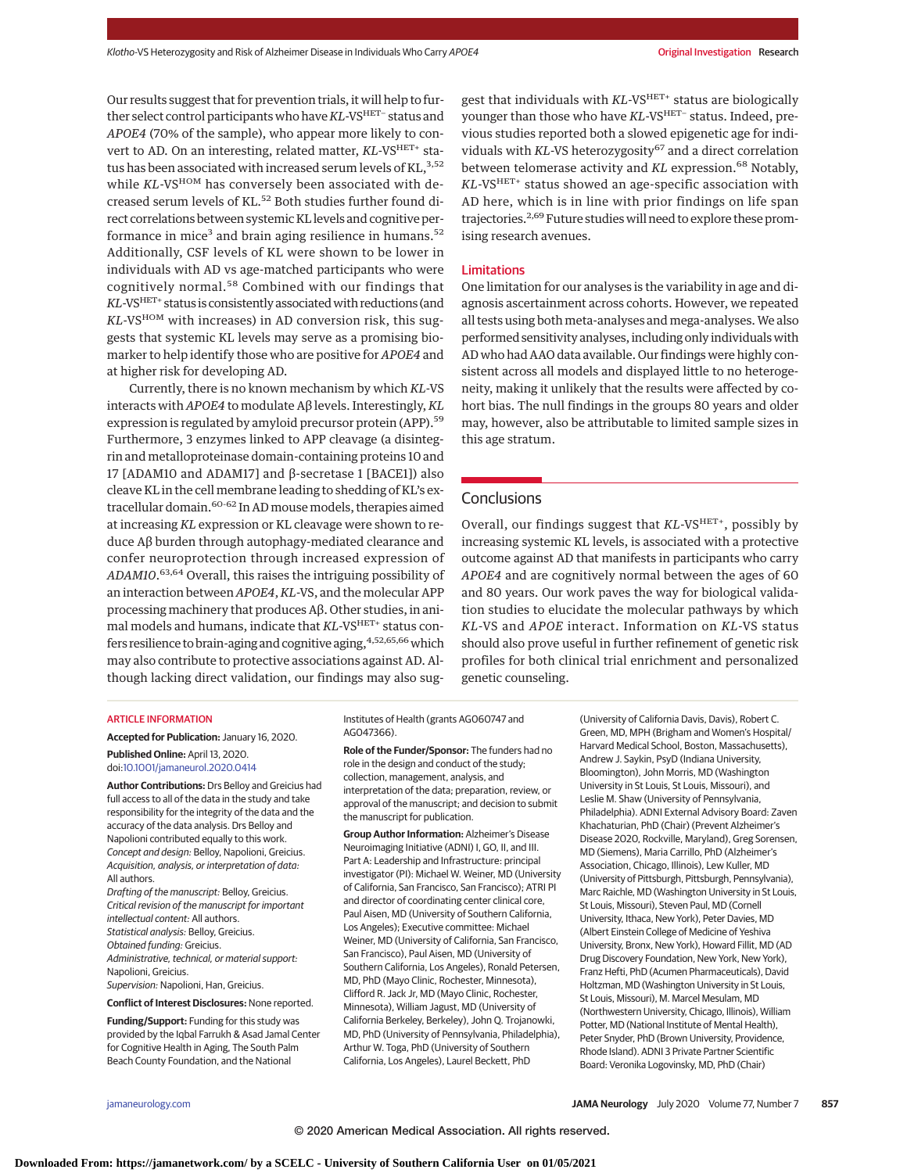Our results suggest that for prevention trials, it will help to further select control participants who have *KL*-VSHET− status and *APOE4* (70% of the sample), who appear more likely to convert to AD. On an interesting, related matter, *KL*-VS<sup>HET+</sup> status has been associated with increased serum levels of KL,  $3,52$ while KL-VS<sup>HOM</sup> has conversely been associated with decreased serum levels of KL.<sup>52</sup> Both studies further found direct correlations between systemic KL levels and cognitive performance in mice<sup>3</sup> and brain aging resilience in humans.<sup>52</sup> Additionally, CSF levels of KL were shown to be lower in individuals with AD vs age-matched participants who were cognitively normal.<sup>58</sup> Combined with our findings that *KL*-VSHET+ status is consistently associatedwith reductions (and *KL*-VSHOM with increases) in AD conversion risk, this suggests that systemic KL levels may serve as a promising biomarker to help identify those who are positive for *APOE4* and at higher risk for developing AD.

Currently, there is no known mechanism by which *KL*-VS interacts with *APOE4* to modulate Aβ levels. Interestingly, *KL* expression is regulated by amyloid precursor protein (APP).<sup>59</sup> Furthermore, 3 enzymes linked to APP cleavage (a disintegrin and metalloproteinase domain-containing proteins 10 and 17 [ADAM10 and ADAM17] and β-secretase 1 [BACE1]) also cleave KL in the cell membrane leading to shedding of KL's extracellular domain.60-62 In AD mouse models, therapies aimed at increasing *KL* expression or KL cleavage were shown to reduce Aβ burden through autophagy-mediated clearance and confer neuroprotection through increased expression of *ADAM10*. 63,64 Overall, this raises the intriguing possibility of an interaction between *APOE4*, *KL*-VS, and the molecular APP processing machinery that produces Aβ. Other studies, in animal models and humans, indicate that *KL*-VSHET+ status confers resilience to brain-aging and cognitive aging,  $4,52,65,66$  which may also contribute to protective associations against AD. Although lacking direct validation, our findings may also suggest that individuals with *KL*-VSHET+ status are biologically younger than those who have *KL*-VSHET− status. Indeed, previous studies reported both a slowed epigenetic age for individuals with *KL*-VS heterozygosity<sup>67</sup> and a direct correlation between telomerase activity and *KL* expression.<sup>68</sup> Notably, *KL*-VSHET+ status showed an age-specific association with AD here, which is in line with prior findings on life span trajectories.<sup>2,69</sup> Future studies will need to explore these promising research avenues.

#### Limitations

One limitation for our analyses is the variability in age and diagnosis ascertainment across cohorts. However, we repeated all tests using both meta-analyses and mega-analyses.We also performed sensitivity analyses, including only individuals with AD who had AAO data available. Our findings were highly consistent across all models and displayed little to no heterogeneity, making it unlikely that the results were affected by cohort bias. The null findings in the groups 80 years and older may, however, also be attributable to limited sample sizes in this age stratum.

#### Conclusions

Overall, our findings suggest that *KL*-VSHET+, possibly by increasing systemic KL levels, is associated with a protective outcome against AD that manifests in participants who carry *APOE4* and are cognitively normal between the ages of 60 and 80 years. Our work paves the way for biological validation studies to elucidate the molecular pathways by which *KL*-VS and *APOE* interact. Information on *KL*-VS status should also prove useful in further refinement of genetic risk profiles for both clinical trial enrichment and personalized genetic counseling.

#### ARTICLE INFORMATION

**Accepted for Publication:** January 16, 2020.

**Published Online:** April 13, 2020. doi[:10.1001/jamaneurol.2020.0414](https://jamanetwork.com/journals/jama/fullarticle/10.1001/jamaneurol.2020.0414?utm_campaign=articlePDF%26utm_medium=articlePDFlink%26utm_source=articlePDF%26utm_content=jamaneurol.2020.0414)

**Author Contributions:** Drs Belloy and Greicius had full access to all of the data in the study and take responsibility for the integrity of the data and the accuracy of the data analysis. Drs Belloy and Napolioni contributed equally to this work. Concept and design: Belloy, Napolioni, Greicius. Acquisition, analysis, or interpretation of data: All authors.

Drafting of the manuscript: Belloy, Greicius. Critical revision of the manuscript for important intellectual content: All authors. Statistical analysis: Belloy, Greicius. Obtained funding: Greicius. Administrative, technical, or material support:

Napolioni, Greicius.

Supervision: Napolioni, Han, Greicius.

**Conflict of Interest Disclosures:** None reported.

**Funding/Support:** Funding for this study was provided by the Iqbal Farrukh & Asad Jamal Center for Cognitive Health in Aging, The South Palm Beach County Foundation, and the National

Institutes of Health (grants AG060747 and AG047366).

**Role of the Funder/Sponsor:** The funders had no role in the design and conduct of the study; collection, management, analysis, and interpretation of the data; preparation, review, or approval of the manuscript; and decision to submit the manuscript for publication.

**Group Author Information:** Alzheimer's Disease Neuroimaging Initiative (ADNI) I, GO, II, and III. Part A: Leadership and Infrastructure: principal investigator (PI): Michael W. Weiner, MD (University of California, San Francisco, San Francisco); ATRI PI and director of coordinating center clinical core, Paul Aisen, MD (University of Southern California, Los Angeles); Executive committee: Michael Weiner, MD (University of California, San Francisco, San Francisco), Paul Aisen, MD (University of Southern California, Los Angeles), Ronald Petersen, MD, PhD (Mayo Clinic, Rochester, Minnesota), Clifford R. Jack Jr, MD (Mayo Clinic, Rochester, Minnesota), William Jagust, MD (University of California Berkeley, Berkeley), John Q. Trojanowki, MD, PhD (University of Pennsylvania, Philadelphia), Arthur W. Toga, PhD (University of Southern California, Los Angeles), Laurel Beckett, PhD

(University of California Davis, Davis), Robert C. Green, MD, MPH (Brigham and Women's Hospital/ Harvard Medical School, Boston, Massachusetts), Andrew J. Saykin, PsyD (Indiana University, Bloomington), John Morris, MD (Washington University in St Louis, St Louis, Missouri), and Leslie M. Shaw (University of Pennsylvania, Philadelphia). ADNI External Advisory Board: Zaven Khachaturian, PhD (Chair) (Prevent Alzheimer's Disease 2020, Rockville, Maryland), Greg Sorensen, MD (Siemens), Maria Carrillo, PhD (Alzheimer's Association, Chicago, Illinois), Lew Kuller, MD (University of Pittsburgh, Pittsburgh, Pennsylvania), Marc Raichle, MD (Washington University in St Louis, St Louis, Missouri), Steven Paul, MD (Cornell University, Ithaca, New York), Peter Davies, MD (Albert Einstein College of Medicine of Yeshiva University, Bronx, New York), Howard Fillit, MD (AD Drug Discovery Foundation, New York, New York), Franz Hefti, PhD (Acumen Pharmaceuticals), David Holtzman, MD (Washington University in St Louis, St Louis, Missouri), M. Marcel Mesulam, MD (Northwestern University, Chicago, Illinois), William Potter, MD (National Institute of Mental Health), Peter Snyder, PhD (Brown University, Providence, Rhode Island). ADNI 3 Private Partner Scientific Board: Veronika Logovinsky, MD, PhD (Chair)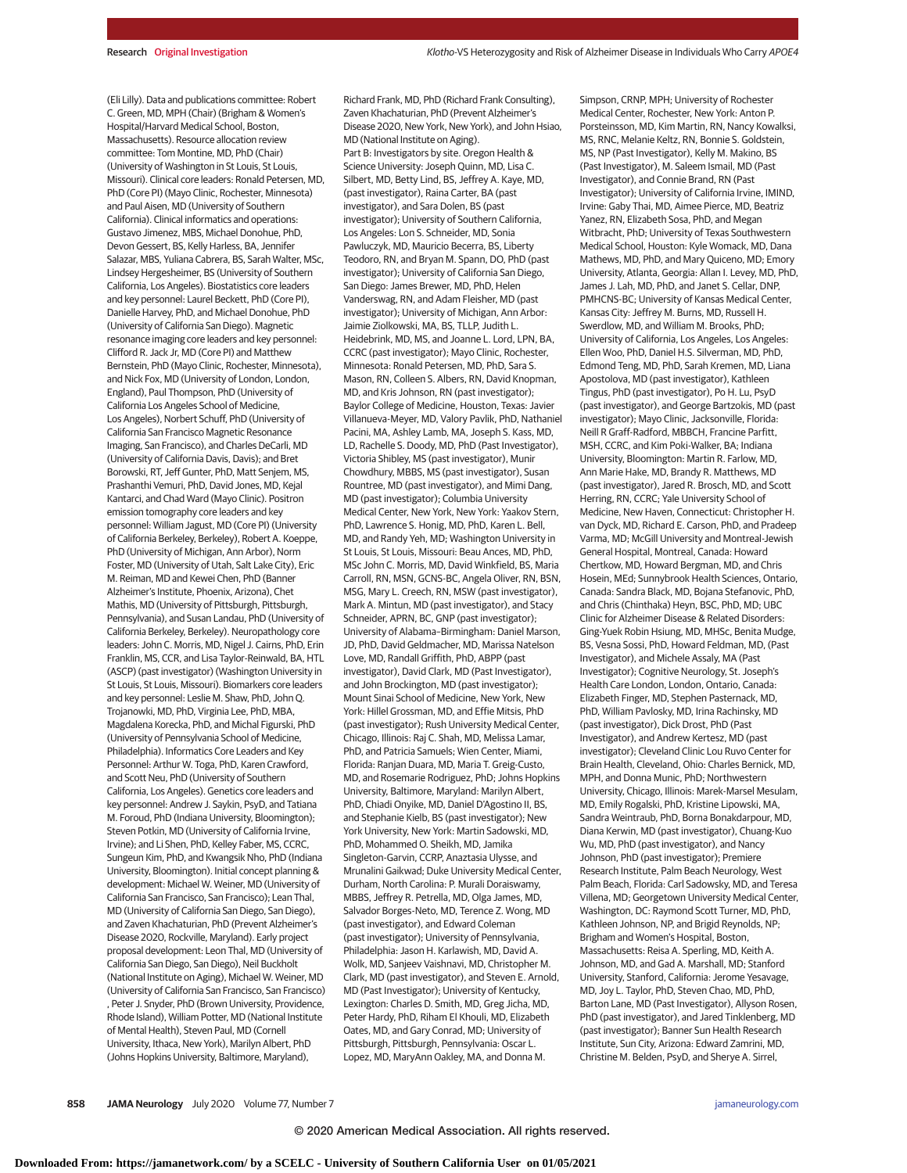(Eli Lilly). Data and publications committee: Robert C. Green, MD, MPH (Chair) (Brigham & Women's Hospital/Harvard Medical School, Boston, Massachusetts). Resource allocation review committee: Tom Montine, MD, PhD (Chair) (University of Washington in St Louis, St Louis, Missouri). Clinical core leaders: Ronald Petersen, MD, PhD (Core PI) (Mayo Clinic, Rochester, Minnesota) and Paul Aisen, MD (University of Southern California). Clinical informatics and operations: Gustavo Jimenez, MBS, Michael Donohue, PhD, Devon Gessert, BS, Kelly Harless, BA, Jennifer Salazar, MBS, Yuliana Cabrera, BS, Sarah Walter, MSc, Lindsey Hergesheimer, BS (University of Southern California, Los Angeles). Biostatistics core leaders and key personnel: Laurel Beckett, PhD (Core PI), Danielle Harvey, PhD, and Michael Donohue, PhD (University of California San Diego). Magnetic resonance imaging core leaders and key personnel: Clifford R. Jack Jr, MD (Core PI) and Matthew Bernstein, PhD (Mayo Clinic, Rochester, Minnesota), and Nick Fox, MD (University of London, London, England), Paul Thompson, PhD (University of California Los Angeles School of Medicine, Los Angeles), Norbert Schuff, PhD (University of California San Francisco Magnetic Resonance Imaging, San Francisco), and Charles DeCarli, MD (University of California Davis, Davis); and Bret Borowski, RT, Jeff Gunter, PhD, Matt Senjem, MS, Prashanthi Vemuri, PhD, David Jones, MD, Kejal Kantarci, and Chad Ward (Mayo Clinic). Positron emission tomography core leaders and key personnel: William Jagust, MD (Core PI) (University of California Berkeley, Berkeley), Robert A. Koeppe, PhD (University of Michigan, Ann Arbor), Norm Foster, MD (University of Utah, Salt Lake City), Eric M. Reiman, MD and Kewei Chen, PhD (Banner Alzheimer's Institute, Phoenix, Arizona), Chet Mathis, MD (University of Pittsburgh, Pittsburgh, Pennsylvania), and Susan Landau, PhD (University of California Berkeley, Berkeley). Neuropathology core leaders: John C. Morris, MD, Nigel J. Cairns, PhD, Erin Franklin, MS, CCR, and Lisa Taylor-Reinwald, BA, HTL (ASCP) (past investigator) (Washington University in St Louis, St Louis, Missouri). Biomarkers core leaders and key personnel: Leslie M. Shaw, PhD, John Q. Trojanowki, MD, PhD, Virginia Lee, PhD, MBA, Magdalena Korecka, PhD, and Michal Figurski, PhD (University of Pennsylvania School of Medicine, Philadelphia). Informatics Core Leaders and Key Personnel: Arthur W. Toga, PhD, Karen Crawford, and Scott Neu, PhD (University of Southern California, Los Angeles). Genetics core leaders and key personnel: Andrew J. Saykin, PsyD, and Tatiana M. Foroud, PhD (Indiana University, Bloomington); Steven Potkin, MD (University of California Irvine, Irvine); and Li Shen, PhD, Kelley Faber, MS, CCRC, Sungeun Kim, PhD, and Kwangsik Nho, PhD (Indiana University, Bloomington). Initial concept planning & development: Michael W. Weiner, MD (University of California San Francisco, San Francisco); Lean Thal, MD (University of California San Diego, San Diego), and Zaven Khachaturian, PhD (Prevent Alzheimer's Disease 2020, Rockville, Maryland). Early project proposal development: Leon Thal, MD (University of California San Diego, San Diego), Neil Buckholt (National Institute on Aging), Michael W. Weiner, MD (University of California San Francisco, San Francisco) , Peter J. Snyder, PhD (Brown University, Providence, Rhode Island), William Potter, MD (National Institute of Mental Health), Steven Paul, MD (Cornell University, Ithaca, New York), Marilyn Albert, PhD (Johns Hopkins University, Baltimore, Maryland),

Richard Frank, MD, PhD (Richard Frank Consulting), Zaven Khachaturian, PhD (Prevent Alzheimer's Disease 2020, New York, New York), and John Hsiao, MD (National Institute on Aging). Part B: Investigators by site. Oregon Health & Science University: Joseph Quinn, MD, Lisa C. Silbert, MD, Betty Lind, BS, Jeffrey A. Kaye, MD, (past investigator), Raina Carter, BA (past investigator), and Sara Dolen, BS (past investigator); University of Southern California, Los Angeles: Lon S. Schneider, MD, Sonia Pawluczyk, MD, Mauricio Becerra, BS, Liberty Teodoro, RN, and Bryan M. Spann, DO, PhD (past investigator); University of California San Diego, San Diego: James Brewer, MD, PhD, Helen Vanderswag, RN, and Adam Fleisher, MD (past investigator); University of Michigan, Ann Arbor: Jaimie Ziolkowski, MA, BS, TLLP, Judith L. Heidebrink, MD, MS, and Joanne L. Lord, LPN, BA, CCRC (past investigator); Mayo Clinic, Rochester, Minnesota: Ronald Petersen, MD, PhD, Sara S. Mason, RN, Colleen S. Albers, RN, David Knopman, MD, and Kris Johnson, RN (past investigator); Baylor College of Medicine, Houston, Texas: Javier Villanueva-Meyer, MD, Valory Pavlik, PhD, Nathaniel Pacini, MA, Ashley Lamb, MA, Joseph S. Kass, MD, LD, Rachelle S. Doody, MD, PhD (Past Investigator), Victoria Shibley, MS (past investigator), Munir Chowdhury, MBBS, MS (past investigator), Susan Rountree, MD (past investigator), and Mimi Dang, MD (past investigator); Columbia University Medical Center, New York, New York: Yaakov Stern, PhD, Lawrence S. Honig, MD, PhD, Karen L. Bell, MD, and Randy Yeh, MD; Washington University in St Louis, St Louis, Missouri: Beau Ances, MD, PhD, MSc John C. Morris, MD, David Winkfield, BS, Maria Carroll, RN, MSN, GCNS-BC, Angela Oliver, RN, BSN, MSG, Mary L. Creech, RN, MSW (past investigator), Mark A. Mintun, MD (past investigator), and Stacy Schneider, APRN, BC, GNP (past investigator): University of Alabama–Birmingham: Daniel Marson, JD, PhD, David Geldmacher, MD, Marissa Natelson Love, MD, Randall Griffith, PhD, ABPP (past investigator), David Clark, MD (Past Investigator), and John Brockington, MD (past investigator); Mount Sinai School of Medicine, New York, New York: Hillel Grossman, MD, and Effie Mitsis, PhD (past investigator); Rush University Medical Center, Chicago, Illinois: Raj C. Shah, MD, Melissa Lamar, PhD, and Patricia Samuels; Wien Center, Miami, Florida: Ranjan Duara, MD, Maria T. Greig-Custo, MD, and Rosemarie Rodriguez, PhD; Johns Hopkins University, Baltimore, Maryland: Marilyn Albert, PhD, Chiadi Onyike, MD, Daniel D'Agostino II, BS, and Stephanie Kielb, BS (past investigator); New York University, New York: Martin Sadowski, MD, PhD, Mohammed O. Sheikh, MD, Jamika Singleton-Garvin, CCRP, Anaztasia Ulysse, and Mrunalini Gaikwad; Duke University Medical Center, Durham, North Carolina: P. Murali Doraiswamy, MBBS, Jeffrey R. Petrella, MD, Olga James, MD, Salvador Borges-Neto, MD, Terence Z. Wong, MD (past investigator), and Edward Coleman (past investigator); University of Pennsylvania, Philadelphia: Jason H. Karlawish, MD, David A. Wolk, MD, Sanjeev Vaishnavi, MD, Christopher M. Clark, MD (past investigator), and Steven E. Arnold, MD (Past Investigator); University of Kentucky, Lexington: Charles D. Smith, MD, Greg Jicha, MD, Peter Hardy, PhD, Riham El Khouli, MD, Elizabeth Oates, MD, and Gary Conrad, MD; University of Pittsburgh, Pittsburgh, Pennsylvania: Oscar L. Lopez, MD, MaryAnn Oakley, MA, and Donna M.

Simpson, CRNP, MPH; University of Rochester Medical Center, Rochester, New York: Anton P. Porsteinsson, MD, Kim Martin, RN, Nancy Kowalksi, MS, RNC, Melanie Keltz, RN, Bonnie S. Goldstein, MS, NP (Past Investigator), Kelly M. Makino, BS (Past Investigator), M. Saleem Ismail, MD (Past Investigator), and Connie Brand, RN (Past Investigator); University of California Irvine, IMIND, Irvine: Gaby Thai, MD, Aimee Pierce, MD, Beatriz Yanez, RN, Elizabeth Sosa, PhD, and Megan Witbracht, PhD; University of Texas Southwestern Medical School, Houston: Kyle Womack, MD, Dana Mathews, MD, PhD, and Mary Quiceno, MD; Emory University, Atlanta, Georgia: Allan I. Levey, MD, PhD, James J. Lah, MD, PhD, and Janet S. Cellar, DNP, PMHCNS-BC; University of Kansas Medical Center, Kansas City: Jeffrey M. Burns, MD, Russell H. Swerdlow, MD, and William M. Brooks, PhD; University of California, Los Angeles, Los Angeles: Ellen Woo, PhD, Daniel H.S. Silverman, MD, PhD, Edmond Teng, MD, PhD, Sarah Kremen, MD, Liana Apostolova, MD (past investigator), Kathleen Tingus, PhD (past investigator), Po H. Lu, PsyD (past investigator), and George Bartzokis, MD (past investigator); Mayo Clinic, Jacksonville, Florida: Neill R Graff-Radford, MBBCH, Francine Parfitt, MSH, CCRC, and Kim Poki-Walker, BA; Indiana University, Bloomington: Martin R. Farlow, MD, Ann Marie Hake, MD, Brandy R. Matthews, MD (past investigator), Jared R. Brosch, MD, and Scott Herring, RN, CCRC; Yale University School of Medicine, New Haven, Connecticut: Christopher H. van Dyck, MD, Richard E. Carson, PhD, and Pradeep Varma, MD; McGill University and Montreal-Jewish General Hospital, Montreal, Canada: Howard Chertkow, MD, Howard Bergman, MD, and Chris Hosein, MEd; Sunnybrook Health Sciences, Ontario, Canada: Sandra Black, MD, Bojana Stefanovic, PhD, and Chris (Chinthaka) Heyn, BSC, PhD, MD; UBC Clinic for Alzheimer Disease & Related Disorders: Ging-Yuek Robin Hsiung, MD, MHSc, Benita Mudge, BS, Vesna Sossi, PhD, Howard Feldman, MD, (Past Investigator), and Michele Assaly, MA (Past Investigator); Cognitive Neurology, St. Joseph's Health Care London, London, Ontario, Canada: Elizabeth Finger, MD, Stephen Pasternack, MD, PhD, William Pavlosky, MD, Irina Rachinsky, MD (past investigator), Dick Drost, PhD (Past Investigator), and Andrew Kertesz, MD (past investigator); Cleveland Clinic Lou Ruvo Center for Brain Health, Cleveland, Ohio: Charles Bernick, MD, MPH, and Donna Munic, PhD; Northwestern University, Chicago, Illinois: Marek-Marsel Mesulam, MD, Emily Rogalski, PhD, Kristine Lipowski, MA, Sandra Weintraub, PhD, Borna Bonakdarpour, MD, Diana Kerwin, MD (past investigator), Chuang-Kuo Wu, MD, PhD (past investigator), and Nancy Johnson, PhD (past investigator); Premiere Research Institute, Palm Beach Neurology, West Palm Beach, Florida: Carl Sadowsky, MD, and Teresa Villena, MD; Georgetown University Medical Center, Washington, DC: Raymond Scott Turner, MD, PhD, Kathleen Johnson, NP, and Brigid Reynolds, NP; Brigham and Women's Hospital, Boston, Massachusetts: Reisa A. Sperling, MD, Keith A. Johnson, MD, and Gad A. Marshall, MD; Stanford University, Stanford, California: Jerome Yesavage, MD, Joy L. Taylor, PhD, Steven Chao, MD, PhD, Barton Lane, MD (Past Investigator), Allyson Rosen, PhD (past investigator), and Jared Tinklenberg, MD (past investigator); Banner Sun Health Research Institute, Sun City, Arizona: Edward Zamrini, MD, Christine M. Belden, PsyD, and Sherye A. Sirrel,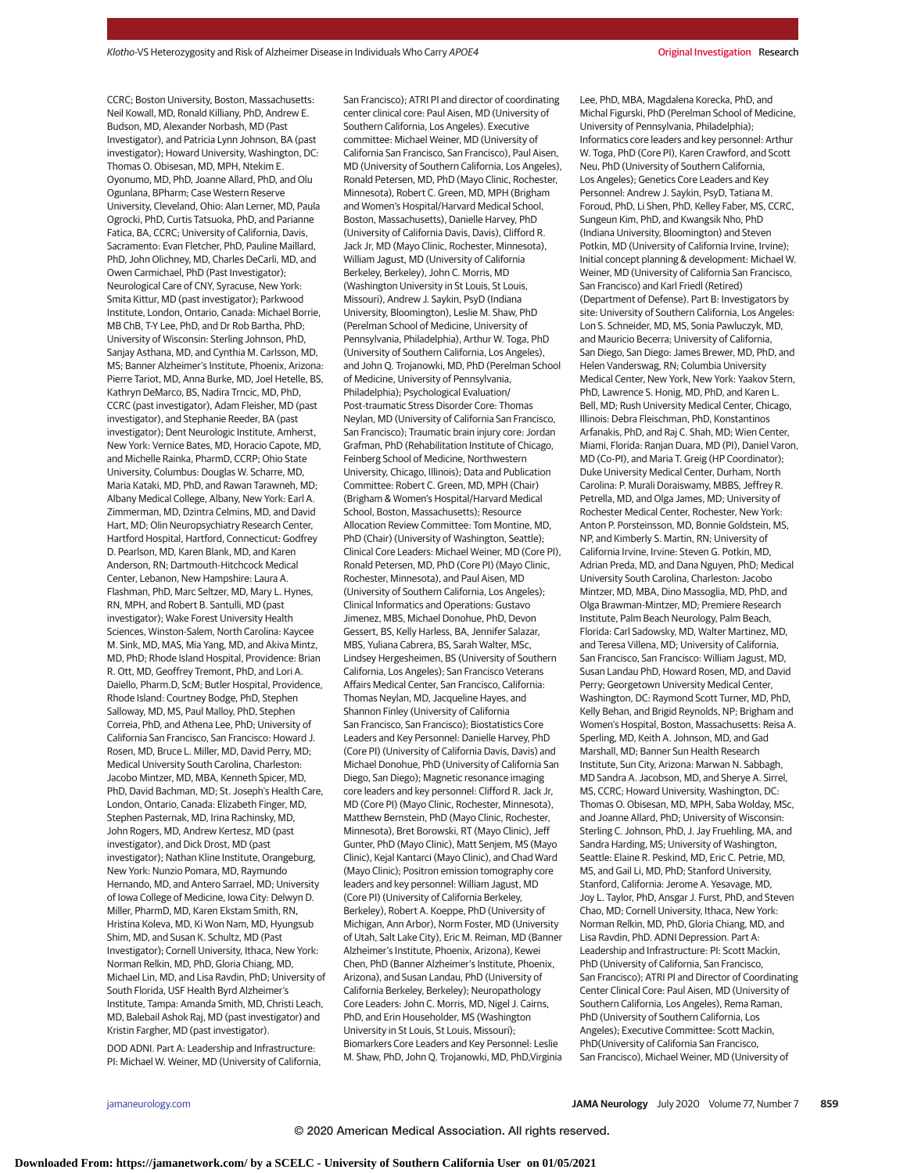CCRC; Boston University, Boston, Massachusetts: Neil Kowall, MD, Ronald Killiany, PhD, Andrew E. Budson, MD, Alexander Norbash, MD (Past Investigator), and Patricia Lynn Johnson, BA (past investigator); Howard University, Washington, DC: Thomas O. Obisesan, MD, MPH, Ntekim E. Oyonumo, MD, PhD, Joanne Allard, PhD, and Olu Ogunlana, BPharm; Case Western Reserve University, Cleveland, Ohio: Alan Lerner, MD, Paula Ogrocki, PhD, Curtis Tatsuoka, PhD, and Parianne Fatica, BA, CCRC; University of California, Davis, Sacramento: Evan Fletcher, PhD, Pauline Maillard, PhD, John Olichney, MD, Charles DeCarli, MD, and Owen Carmichael, PhD (Past Investigator); Neurological Care of CNY, Syracuse, New York: Smita Kittur, MD (past investigator); Parkwood Institute, London, Ontario, Canada: Michael Borrie, MB ChB, T-Y Lee, PhD, and Dr Rob Bartha, PhD; University of Wisconsin: Sterling Johnson, PhD, Sanjay Asthana, MD, and Cynthia M. Carlsson, MD, MS; Banner Alzheimer's Institute, Phoenix, Arizona: Pierre Tariot, MD, Anna Burke, MD, Joel Hetelle, BS, Kathryn DeMarco, BS, Nadira Trncic, MD, PhD, CCRC (past investigator), Adam Fleisher, MD (past investigator), and Stephanie Reeder, BA (past investigator); Dent Neurologic Institute, Amherst, New York: Vernice Bates, MD, Horacio Capote, MD, and Michelle Rainka, PharmD, CCRP; Ohio State University, Columbus: Douglas W. Scharre, MD, Maria Kataki, MD, PhD, and Rawan Tarawneh, MD; Albany Medical College, Albany, New York: Earl A. Zimmerman, MD, Dzintra Celmins, MD, and David Hart, MD; Olin Neuropsychiatry Research Center, Hartford Hospital, Hartford, Connecticut: Godfrey D. Pearlson, MD, Karen Blank, MD, and Karen Anderson, RN; Dartmouth-Hitchcock Medical Center, Lebanon, New Hampshire: Laura A. Flashman, PhD, Marc Seltzer, MD, Mary L. Hynes, RN, MPH, and Robert B. Santulli, MD (past investigator); Wake Forest University Health Sciences, Winston-Salem, North Carolina: Kaycee M. Sink, MD, MAS, Mia Yang, MD, and Akiva Mintz, MD, PhD; Rhode Island Hospital, Providence: Brian R. Ott, MD, Geoffrey Tremont, PhD, and Lori A. Daiello, Pharm.D, ScM; Butler Hospital, Providence, Rhode Island: Courtney Bodge, PhD, Stephen Salloway, MD, MS, Paul Malloy, PhD, Stephen Correia, PhD, and Athena Lee, PhD; University of California San Francisco, San Francisco: Howard J. Rosen, MD, Bruce L. Miller, MD, David Perry, MD; Medical University South Carolina, Charleston: Jacobo Mintzer, MD, MBA, Kenneth Spicer, MD, PhD, David Bachman, MD; St. Joseph's Health Care, London, Ontario, Canada: Elizabeth Finger, MD, Stephen Pasternak, MD, Irina Rachinsky, MD, John Rogers, MD, Andrew Kertesz, MD (past investigator), and Dick Drost, MD (past investigator); Nathan Kline Institute, Orangeburg, New York: Nunzio Pomara, MD, Raymundo Hernando, MD, and Antero Sarrael, MD; University of Iowa College of Medicine, Iowa City: Delwyn D. Miller, PharmD, MD, Karen Ekstam Smith, RN, Hristina Koleva, MD, Ki Won Nam, MD, Hyungsub Shim, MD, and Susan K. Schultz, MD (Past Investigator); Cornell University, Ithaca, New York: Norman Relkin, MD, PhD, Gloria Chiang, MD, Michael Lin, MD, and Lisa Ravdin, PhD; University of South Florida, USF Health Byrd Alzheimer's Institute, Tampa: Amanda Smith, MD, Christi Leach, MD, Balebail Ashok Raj, MD (past investigator) and Kristin Fargher, MD (past investigator).

DOD ADNI. Part A: Leadership and Infrastructure: PI: Michael W. Weiner, MD (University of California, San Francisco); ATRI PI and director of coordinating center clinical core: Paul Aisen, MD (University of Southern California, Los Angeles). Executive committee: Michael Weiner, MD (University of California San Francisco, San Francisco), Paul Aisen, MD (University of Southern California, Los Angeles), Ronald Petersen, MD, PhD (Mayo Clinic, Rochester, Minnesota), Robert C. Green, MD, MPH (Brigham and Women's Hospital/Harvard Medical School, Boston, Massachusetts), Danielle Harvey, PhD (University of California Davis, Davis), Clifford R. Jack Jr, MD (Mayo Clinic, Rochester, Minnesota), William Jagust, MD (University of California Berkeley, Berkeley), John C. Morris, MD (Washington University in St Louis, St Louis, Missouri), Andrew J. Saykin, PsyD (Indiana University, Bloomington), Leslie M. Shaw, PhD (Perelman School of Medicine, University of Pennsylvania, Philadelphia), Arthur W. Toga, PhD (University of Southern California, Los Angeles), and John Q. Trojanowki, MD, PhD (Perelman School of Medicine, University of Pennsylvania, Philadelphia); Psychological Evaluation/ Post-traumatic Stress Disorder Core: Thomas Neylan, MD (University of California San Francisco, San Francisco); Traumatic brain injury core: Jordan Grafman, PhD (Rehabilitation Institute of Chicago, Feinberg School of Medicine, Northwestern University, Chicago, Illinois); Data and Publication Committee: Robert C. Green, MD, MPH (Chair) (Brigham & Women's Hospital/Harvard Medical School, Boston, Massachusetts); Resource Allocation Review Committee: Tom Montine, MD, PhD (Chair) (University of Washington, Seattle); Clinical Core Leaders: Michael Weiner, MD (Core PI), Ronald Petersen, MD, PhD (Core PI) (Mayo Clinic, Rochester, Minnesota), and Paul Aisen, MD (University of Southern California, Los Angeles); Clinical Informatics and Operations: Gustavo Jimenez, MBS, Michael Donohue, PhD, Devon Gessert, BS, Kelly Harless, BA, Jennifer Salazar, MBS, Yuliana Cabrera, BS, Sarah Walter, MSc, Lindsey Hergesheimen, BS (University of Southern California, Los Angeles); San Francisco Veterans Affairs Medical Center, San Francisco, California: Thomas Neylan, MD, Jacqueline Hayes, and Shannon Finley (University of California San Francisco, San Francisco); Biostatistics Core Leaders and Key Personnel: Danielle Harvey, PhD (Core PI) (University of California Davis, Davis) and Michael Donohue, PhD (University of California San Diego, San Diego); Magnetic resonance imaging core leaders and key personnel: Clifford R. Jack Jr, MD (Core PI) (Mayo Clinic, Rochester, Minnesota), Matthew Bernstein, PhD (Mayo Clinic, Rochester, Minnesota), Bret Borowski, RT (Mayo Clinic), Jeff Gunter, PhD (Mayo Clinic), Matt Senjem, MS (Mayo Clinic), Kejal Kantarci (Mayo Clinic), and Chad Ward (Mayo Clinic); Positron emission tomography core leaders and key personnel: William Jagust, MD (Core PI) (University of California Berkeley, Berkeley), Robert A. Koeppe, PhD (University of Michigan, Ann Arbor), Norm Foster, MD (University of Utah, Salt Lake City), Eric M. Reiman, MD (Banner Alzheimer's Institute, Phoenix, Arizona), Kewei Chen, PhD (Banner Alzheimer's Institute, Phoenix, Arizona), and Susan Landau, PhD (University of California Berkeley, Berkeley); Neuropathology Core Leaders: John C. Morris, MD, Nigel J. Cairns, PhD, and Erin Householder, MS (Washington University in St Louis, St Louis, Missouri); Biomarkers Core Leaders and Key Personnel: Leslie M. Shaw, PhD, John Q. Trojanowki, MD, PhD,Virginia Lee, PhD, MBA, Magdalena Korecka, PhD, and Michal Figurski, PhD (Perelman School of Medicine, University of Pennsylvania, Philadelphia); Informatics core leaders and key personnel: Arthur W. Toga, PhD (Core PI), Karen Crawford, and Scott Neu, PhD (University of Southern California, Los Angeles); Genetics Core Leaders and Key Personnel: Andrew J. Saykin, PsyD, Tatiana M. Foroud, PhD, Li Shen, PhD, Kelley Faber, MS, CCRC, Sungeun Kim, PhD, and Kwangsik Nho, PhD (Indiana University, Bloomington) and Steven Potkin, MD (University of California Irvine, Irvine); Initial concept planning & development: Michael W. Weiner, MD (University of California San Francisco, San Francisco) and Karl Friedl (Retired) (Department of Defense). Part B: Investigators by site: University of Southern California, Los Angeles: Lon S. Schneider, MD, MS, Sonia Pawluczyk, MD, and Mauricio Becerra; University of California, San Diego, San Diego: James Brewer, MD, PhD, and Helen Vanderswag, RN; Columbia University Medical Center, New York, New York: Yaakov Stern, PhD, Lawrence S. Honig, MD, PhD, and Karen L. Bell, MD; Rush University Medical Center, Chicago, Illinois: Debra Fleischman, PhD, Konstantinos Arfanakis, PhD, and Raj C. Shah, MD; Wien Center, Miami, Florida: Ranjan Duara, MD (PI), Daniel Varon, MD (Co-PI), and Maria T. Greig (HP Coordinator); Duke University Medical Center, Durham, North Carolina: P. Murali Doraiswamy, MBBS, Jeffrey R. Petrella, MD, and Olga James, MD; University of Rochester Medical Center, Rochester, New York: Anton P. Porsteinsson, MD, Bonnie Goldstein, MS, NP, and Kimberly S. Martin, RN; University of California Irvine, Irvine: Steven G. Potkin, MD, Adrian Preda, MD, and Dana Nguyen, PhD; Medical University South Carolina, Charleston: Jacobo Mintzer, MD, MBA, Dino Massoglia, MD, PhD, and Olga Brawman-Mintzer, MD; Premiere Research Institute, Palm Beach Neurology, Palm Beach, Florida: Carl Sadowsky, MD, Walter Martinez, MD, and Teresa Villena, MD; University of California, San Francisco, San Francisco: William Jagust, MD, Susan Landau PhD, Howard Rosen, MD, and David Perry; Georgetown University Medical Center, Washington, DC: Raymond Scott Turner, MD, PhD, Kelly Behan, and Brigid Reynolds, NP; Brigham and Women's Hospital, Boston, Massachusetts: Reisa A. Sperling, MD, Keith A. Johnson, MD, and Gad Marshall, MD; Banner Sun Health Research Institute, Sun City, Arizona: Marwan N. Sabbagh, MD Sandra A. Jacobson, MD, and Sherye A. Sirrel, MS, CCRC; Howard University, Washington, DC: Thomas O. Obisesan, MD, MPH, Saba Wolday, MSc, and Joanne Allard, PhD; University of Wisconsin: Sterling C. Johnson, PhD, J. Jay Fruehling, MA, and Sandra Harding, MS; University of Washington, Seattle: Elaine R. Peskind, MD, Eric C. Petrie, MD, MS, and Gail Li, MD, PhD; Stanford University, Stanford, California: Jerome A. Yesavage, MD, Joy L. Taylor, PhD, Ansgar J. Furst, PhD, and Steven Chao, MD; Cornell University, Ithaca, New York: Norman Relkin, MD, PhD, Gloria Chiang, MD, and Lisa Ravdin, PhD. ADNI Depression. Part A: Leadership and Infrastructure: PI: Scott Mackin, PhD (University of California, San Francisco, San Francisco); ATRI PI and Director of Coordinating Center Clinical Core: Paul Aisen, MD (University of Southern California, Los Angeles), Rema Raman, PhD (University of Southern California, Los Angeles); Executive Committee: Scott Mackin, PhD(University of California San Francisco, San Francisco), Michael Weiner, MD (University of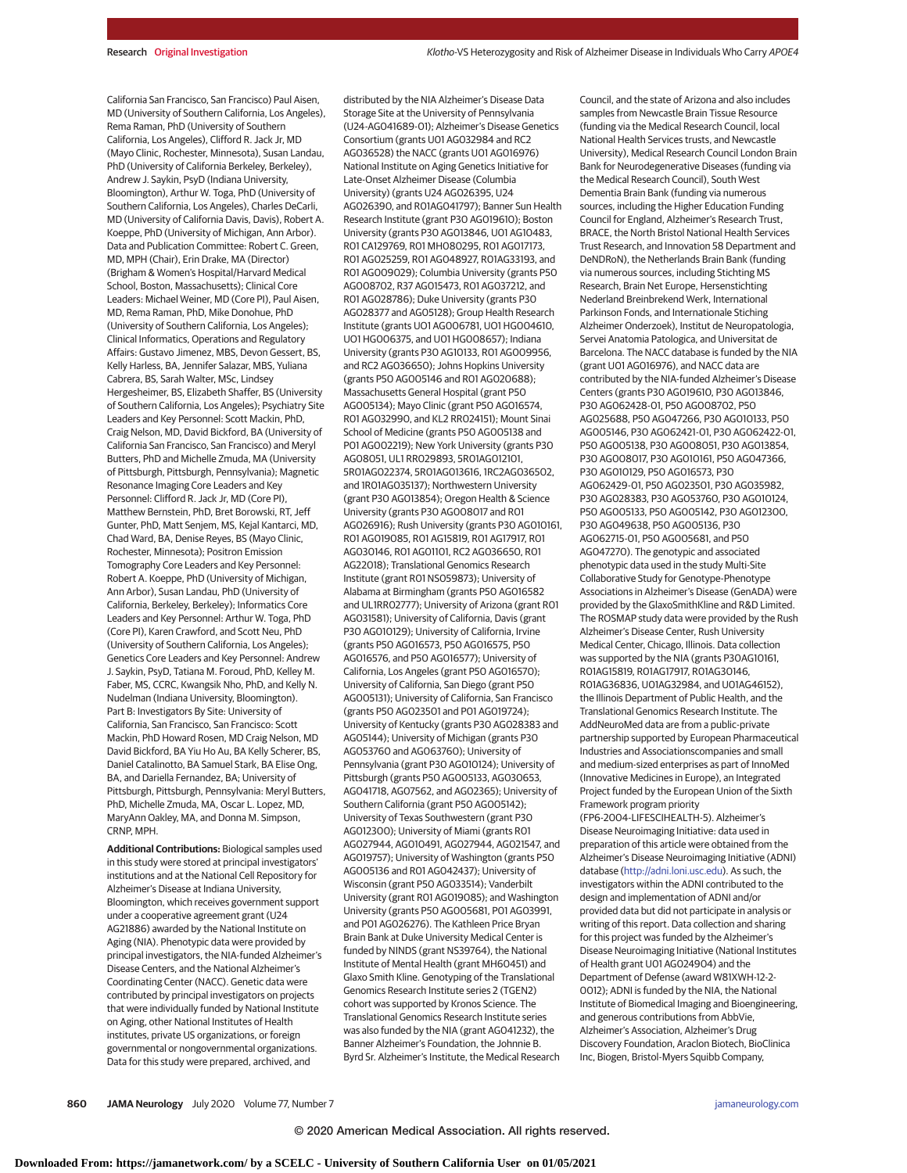California San Francisco, San Francisco) Paul Aisen, MD (University of Southern California, Los Angeles), Rema Raman, PhD (University of Southern California, Los Angeles), Clifford R. Jack Jr, MD (Mayo Clinic, Rochester, Minnesota), Susan Landau, PhD (University of California Berkeley, Berkeley), Andrew J. Saykin, PsyD (Indiana University, Bloomington), Arthur W. Toga, PhD (University of Southern California, Los Angeles), Charles DeCarli, MD (University of California Davis, Davis), Robert A. Koeppe, PhD (University of Michigan, Ann Arbor). Data and Publication Committee: Robert C. Green, MD, MPH (Chair), Erin Drake, MA (Director) (Brigham & Women's Hospital/Harvard Medical School, Boston, Massachusetts); Clinical Core Leaders: Michael Weiner, MD (Core PI), Paul Aisen, MD, Rema Raman, PhD, Mike Donohue, PhD (University of Southern California, Los Angeles); Clinical Informatics, Operations and Regulatory Affairs: Gustavo Jimenez, MBS, Devon Gessert, BS, Kelly Harless, BA, Jennifer Salazar, MBS, Yuliana Cabrera, BS, Sarah Walter, MSc, Lindsey Hergesheimer, BS, Elizabeth Shaffer, BS (University of Southern California, Los Angeles); Psychiatry Site Leaders and Key Personnel: Scott Mackin, PhD, Craig Nelson, MD, David Bickford, BA (University of California San Francisco, San Francisco) and Meryl Butters, PhD and Michelle Zmuda, MA (University of Pittsburgh, Pittsburgh, Pennsylvania); Magnetic Resonance Imaging Core Leaders and Key Personnel: Clifford R. Jack Jr, MD (Core PI), Matthew Bernstein, PhD, Bret Borowski, RT, Jeff Gunter, PhD, Matt Senjem, MS, Kejal Kantarci, MD, Chad Ward, BA, Denise Reyes, BS (Mayo Clinic, Rochester, Minnesota); Positron Emission Tomography Core Leaders and Key Personnel: Robert A. Koeppe, PhD (University of Michigan, Ann Arbor), Susan Landau, PhD (University of California, Berkeley, Berkeley); Informatics Core Leaders and Key Personnel: Arthur W. Toga, PhD (Core PI), Karen Crawford, and Scott Neu, PhD (University of Southern California, Los Angeles); Genetics Core Leaders and Key Personnel: Andrew J. Saykin, PsyD, Tatiana M. Foroud, PhD, Kelley M. Faber, MS, CCRC, Kwangsik Nho, PhD, and Kelly N. Nudelman (Indiana University, Bloomington). Part B: Investigators By Site: University of California, San Francisco, San Francisco: Scott Mackin, PhD Howard Rosen, MD Craig Nelson, MD David Bickford, BA Yiu Ho Au, BA Kelly Scherer, BS, Daniel Catalinotto, BA Samuel Stark, BA Elise Ong, BA, and Dariella Fernandez, BA; University of Pittsburgh, Pittsburgh, Pennsylvania: Meryl Butters, PhD, Michelle Zmuda, MA, Oscar L. Lopez, MD, MaryAnn Oakley, MA, and Donna M. Simpson, CRNP, MPH.

**Additional Contributions:** Biological samples used in this study were stored at principal investigators' institutions and at the National Cell Repository for Alzheimer's Disease at Indiana University, Bloomington, which receives government support under a cooperative agreement grant (U24 AG21886) awarded by the National Institute on Aging (NIA). Phenotypic data were provided by principal investigators, the NIA-funded Alzheimer's Disease Centers, and the National Alzheimer's Coordinating Center (NACC). Genetic data were contributed by principal investigators on projects that were individually funded by National Institute on Aging, other National Institutes of Health institutes, private US organizations, or foreign governmental or nongovernmental organizations. Data for this study were prepared, archived, and

distributed by the NIA Alzheimer's Disease Data Storage Site at the University of Pennsylvania (U24-AG041689-01); Alzheimer's Disease Genetics Consortium (grants U01 AG032984 and RC2 AG036528) the NACC (grants U01 AG016976) National Institute on Aging Genetics Initiative for Late-Onset Alzheimer Disease (Columbia University) (grants U24 AG026395, U24 AG026390, and R01AG041797); Banner Sun Health Research Institute (grant P30 AG019610); Boston University (grants P30 AG013846, U01 AG10483, R01 CA129769, R01 MH080295, R01 AG017173, R01 AG025259, R01 AG048927, R01AG33193, and R01 AG009029); Columbia University (grants P50 AG008702, R37 AG015473, R01 AG037212, and R01 AG028786); Duke University (grants P30 AG028377 and AG05128); Group Health Research Institute (grants UO1 AG006781, UO1 HG004610, UO1 HG006375, and U01 HG008657); Indiana University (grants P30 AG10133, R01 AG009956, and RC2 AG036650); Johns Hopkins University (grants P50 AG005146 and R01 AG020688); Massachusetts General Hospital (grant P50 AG005134); Mayo Clinic (grant P50 AG016574, R01 AG032990, and KL2 RR024151); Mount Sinai School of Medicine (grants P50 AG005138 and P01 AG002219); New York University (grants P30 AG08051, UL1 RR029893, 5R01AG012101, 5R01AG022374, 5R01AG013616, 1RC2AG036502, and 1R01AG035137); Northwestern University (grant P30 AG013854); Oregon Health & Science University (grants P30 AG008017 and R01 AG026916); Rush University (grants P30 AG010161, R01 AG019085, R01 AG15819, R01 AG17917, R01 AG030146, R01 AG01101, RC2 AG036650, R01 AG22018); Translational Genomics Research Institute (grant R01 NS059873); University of Alabama at Birmingham (grants P50 AG016582 and UL1RR02777); University of Arizona (grant R01 AG031581); University of California, Davis (grant P30 AG010129); University of California, Irvine (grants P50 AG016573, P50 AG016575, P50 AG016576, and P50 AG016577); University of California, Los Angeles (grant P50 AG016570); University of California, San Diego (grant P50 AG005131); University of California, San Francisco (grants P50 AG023501 and P01 AG019724); University of Kentucky (grants P30 AG028383 and AG05144); University of Michigan (grants P30 AG053760 and AG063760); University of Pennsylvania (grant P30 AG010124); University of Pittsburgh (grants P50 AG005133, AG030653, AG041718, AG07562, and AG02365); University of Southern California (grant P50 AG005142); University of Texas Southwestern (grant P30 AG012300); University of Miami (grants R01 AG027944, AG010491, AG027944, AG021547, and AG019757); University of Washington (grants P50 AG005136 and R01 AG042437); University of Wisconsin (grant P50 AG033514); Vanderbilt University (grant R01 AG019085); and Washington University (grants P50 AG005681, P01 AG03991, and P01 AG026276). The Kathleen Price Bryan Brain Bank at Duke University Medical Center is funded by NINDS (grant NS39764), the National Institute of Mental Health (grant MH60451) and Glaxo Smith Kline. Genotyping of the Translational Genomics Research Institute series 2 (TGEN2) cohort was supported by Kronos Science. The Translational Genomics Research Institute series was also funded by the NIA (grant AG041232), the Banner Alzheimer's Foundation, the Johnnie B. Byrd Sr. Alzheimer's Institute, the Medical Research

Council, and the state of Arizona and also includes samples from Newcastle Brain Tissue Resource (funding via the Medical Research Council, local National Health Services trusts, and Newcastle University), Medical Research Council London Brain Bank for Neurodegenerative Diseases (funding via the Medical Research Council), South West Dementia Brain Bank (funding via numerous sources, including the Higher Education Funding Council for England, Alzheimer's Research Trust, BRACE, the North Bristol National Health Services Trust Research, and Innovation 58 Department and DeNDRoN), the Netherlands Brain Bank (funding via numerous sources, including Stichting MS Research, Brain Net Europe, Hersenstichting Nederland Breinbrekend Werk, International Parkinson Fonds, and Internationale Stiching Alzheimer Onderzoek), Institut de Neuropatologia, Servei Anatomia Patologica, and Universitat de Barcelona. The NACC database is funded by the NIA (grant U01 AG016976), and NACC data are contributed by the NIA-funded Alzheimer's Disease Centers (grants P30 AG019610, P30 AG013846, P30 AG062428-01, P50 AG008702, P50 AG025688, P50 AG047266, P30 AG010133, P50 AG005146, P30 AG062421-01, P30 AG062422-01, P50 AG005138, P30 AG008051, P30 AG013854, P30 AG008017, P30 AG010161, P50 AG047366, P30 AG010129, P50 AG016573, P30 AG062429-01, P50 AG023501, P30 AG035982, P30 AG028383, P30 AG053760, P30 AG010124, P50 AG005133, P50 AG005142, P30 AG012300, P30 AG049638, P50 AG005136, P30 AG062715-01, P50 AG005681, and P50 AG047270). The genotypic and associated phenotypic data used in the study Multi-Site Collaborative Study for Genotype-Phenotype Associations in Alzheimer's Disease (GenADA) were provided by the GlaxoSmithKline and R&D Limited. The ROSMAP study data were provided by the Rush Alzheimer's Disease Center, Rush University Medical Center, Chicago, Illinois. Data collection was supported by the NIA (grants P30AG10161, R01AG15819, R01AG17917, R01AG30146, R01AG36836, U01AG32984, and U01AG46152), the Illinois Department of Public Health, and the Translational Genomics Research Institute. The AddNeuroMed data are from a public-private partnership supported by European Pharmaceutical Industries and Associationscompanies and small and medium-sized enterprises as part of InnoMed (Innovative Medicines in Europe), an Integrated Project funded by the European Union of the Sixth Framework program priority (FP6-2004-LIFESCIHEALTH-5). Alzheimer's Disease Neuroimaging Initiative: data used in preparation of this article were obtained from the Alzheimer's Disease Neuroimaging Initiative (ADNI) database [\(http://adni.loni.usc.edu\)](http://adni.loni.usc.edu). As such, the investigators within the ADNI contributed to the design and implementation of ADNI and/or provided data but did not participate in analysis or writing of this report. Data collection and sharing for this project was funded by the Alzheimer's Disease Neuroimaging Initiative (National Institutes of Health grant U01 AG024904) and the Department of Defense (award W81XWH-12-2- 0012); ADNI is funded by the NIA, the National Institute of Biomedical Imaging and Bioengineering, and generous contributions from AbbVie, Alzheimer's Association, Alzheimer's Drug Discovery Foundation, Araclon Biotech, BioClinica

Inc, Biogen, Bristol-Myers Squibb Company,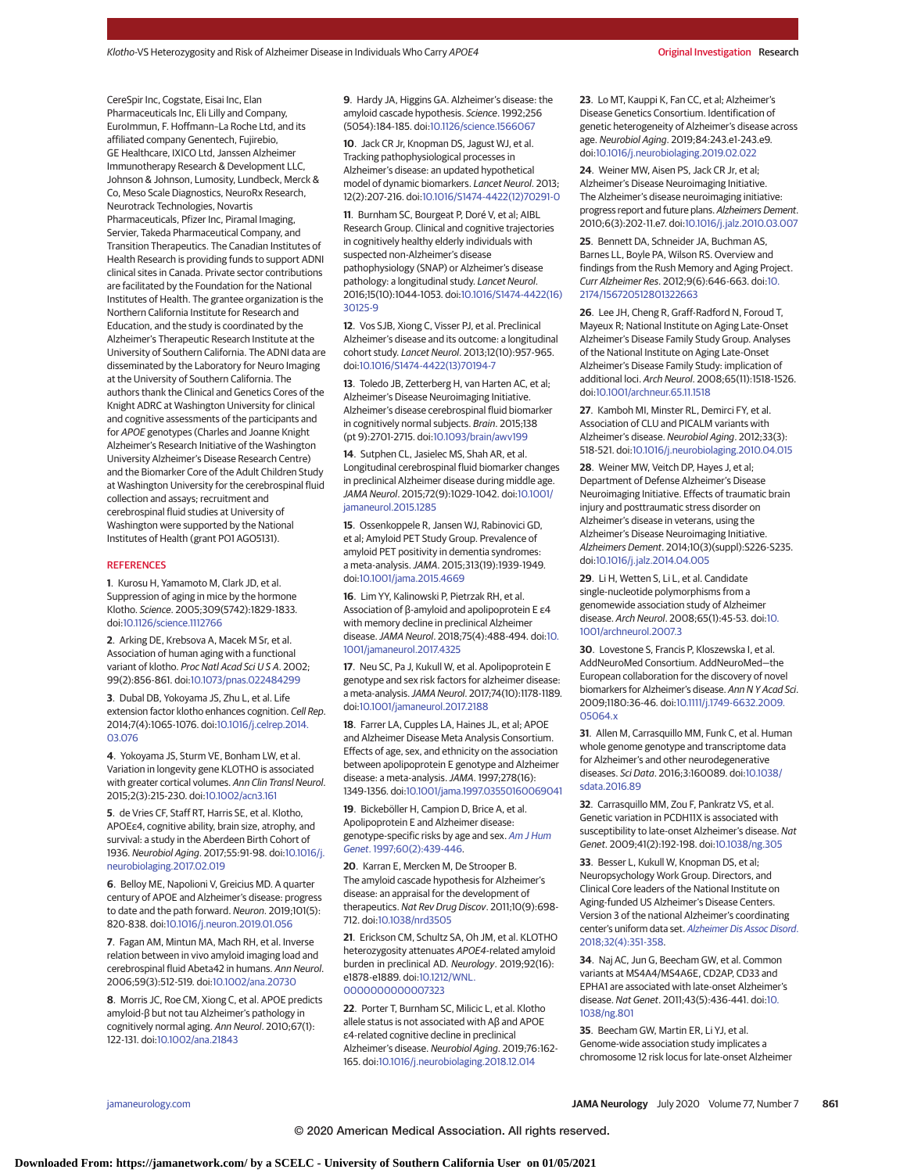CereSpir Inc, Cogstate, Eisai Inc, Elan Pharmaceuticals Inc, Eli Lilly and Company, EuroImmun, F. Hoffmann–La Roche Ltd, and its affiliated company Genentech, Fujirebio, GE Healthcare, IXICO Ltd, Janssen Alzheimer Immunotherapy Research & Development LLC, Johnson & Johnson, Lumosity, Lundbeck, Merck & Co, Meso Scale Diagnostics, NeuroRx Research, Neurotrack Technologies, Novartis Pharmaceuticals, Pfizer Inc, Piramal Imaging, Servier, Takeda Pharmaceutical Company, and Transition Therapeutics. The Canadian Institutes of Health Research is providing funds to support ADNI clinical sites in Canada. Private sector contributions are facilitated by the Foundation for the National Institutes of Health. The grantee organization is the Northern California Institute for Research and Education, and the study is coordinated by the Alzheimer's Therapeutic Research Institute at the University of Southern California. The ADNI data are disseminated by the Laboratory for Neuro Imaging at the University of Southern California. The authors thank the Clinical and Genetics Cores of the Knight ADRC at Washington University for clinical and cognitive assessments of the participants and for APOE genotypes (Charles and Joanne Knight Alzheimer's Research Initiative of the Washington University Alzheimer's Disease Research Centre) and the Biomarker Core of the Adult Children Study at Washington University for the cerebrospinal fluid collection and assays; recruitment and cerebrospinal fluid studies at University of Washington were supported by the National Institutes of Health (grant PO1 AGO5131).

#### **REFERENCES**

**1**. Kurosu H, Yamamoto M, Clark JD, et al. Suppression of aging in mice by the hormone Klotho. Science. 2005;309(5742):1829-1833. doi[:10.1126/science.1112766](https://dx.doi.org/10.1126/science.1112766)

**2**. Arking DE, Krebsova A, Macek M Sr, et al. Association of human aging with a functional variant of klotho. Proc Natl Acad Sci USA. 2002; 99(2):856-861. doi[:10.1073/pnas.022484299](https://dx.doi.org/10.1073/pnas.022484299)

**3**. Dubal DB, Yokoyama JS, Zhu L, et al. Life extension factor klotho enhances cognition. Cell Rep. 2014;7(4):1065-1076. doi[:10.1016/j.celrep.2014.](https://dx.doi.org/10.1016/j.celrep.2014.03.076) [03.076](https://dx.doi.org/10.1016/j.celrep.2014.03.076)

**4**. Yokoyama JS, Sturm VE, Bonham LW, et al. Variation in longevity gene KLOTHO is associated with greater cortical volumes. Ann Clin Transl Neurol. 2015;2(3):215-230. doi[:10.1002/acn3.161](https://dx.doi.org/10.1002/acn3.161)

**5**. de Vries CF, Staff RT, Harris SE, et al. Klotho, APOEε4, cognitive ability, brain size, atrophy, and survival: a study in the Aberdeen Birth Cohort of 1936. Neurobiol Aging. 2017;55:91-98. doi[:10.1016/j.](https://dx.doi.org/10.1016/j.neurobiolaging.2017.02.019) [neurobiolaging.2017.02.019](https://dx.doi.org/10.1016/j.neurobiolaging.2017.02.019)

**6**. Belloy ME, Napolioni V, Greicius MD. A quarter century of APOE and Alzheimer's disease: progress to date and the path forward. Neuron. 2019;101(5): 820-838. doi[:10.1016/j.neuron.2019.01.056](https://dx.doi.org/10.1016/j.neuron.2019.01.056)

**7**. Fagan AM, Mintun MA, Mach RH, et al. Inverse relation between in vivo amyloid imaging load and cerebrospinal fluid Abeta42 in humans. Ann Neurol. 2006;59(3):512-519. doi[:10.1002/ana.20730](https://dx.doi.org/10.1002/ana.20730)

**8**. Morris JC, Roe CM, Xiong C, et al. APOE predicts amyloid-β but not tau Alzheimer's pathology in cognitively normal aging. Ann Neurol. 2010;67(1): 122-131. doi[:10.1002/ana.21843](https://dx.doi.org/10.1002/ana.21843)

**9**. Hardy JA, Higgins GA. Alzheimer's disease: the amyloid cascade hypothesis. Science. 1992;256 (5054):184-185. doi[:10.1126/science.1566067](https://dx.doi.org/10.1126/science.1566067)

**10**. Jack CR Jr, Knopman DS, Jagust WJ, et al. Tracking pathophysiological processes in Alzheimer's disease: an updated hypothetical model of dynamic biomarkers. Lancet Neurol. 2013; 12(2):207-216. doi[:10.1016/S1474-4422\(12\)70291-0](https://dx.doi.org/10.1016/S1474-4422(12)70291-0)

**11**. Burnham SC, Bourgeat P, Doré V, et al; AIBL Research Group. Clinical and cognitive trajectories in cognitively healthy elderly individuals with suspected non-Alzheimer's disease pathophysiology (SNAP) or Alzheimer's disease pathology: a longitudinal study. Lancet Neurol. 2016;15(10):1044-1053. doi[:10.1016/S1474-4422\(16\)](https://dx.doi.org/10.1016/S1474-4422(16)30125-9) [30125-9](https://dx.doi.org/10.1016/S1474-4422(16)30125-9)

**12**. Vos SJB, Xiong C, Visser PJ, et al. Preclinical Alzheimer's disease and its outcome: a longitudinal cohort study. Lancet Neurol. 2013;12(10):957-965. doi[:10.1016/S1474-4422\(13\)70194-7](https://dx.doi.org/10.1016/S1474-4422(13)70194-7)

**13**. Toledo JB, Zetterberg H, van Harten AC, et al; Alzheimer's Disease Neuroimaging Initiative. Alzheimer's disease cerebrospinal fluid biomarker in cognitively normal subjects. Brain. 2015;138 (pt 9):2701-2715. doi[:10.1093/brain/awv199](https://dx.doi.org/10.1093/brain/awv199)

**14**. Sutphen CL, Jasielec MS, Shah AR, et al. Longitudinal cerebrospinal fluid biomarker changes in preclinical Alzheimer disease during middle age. JAMA Neurol. 2015;72(9):1029-1042. doi[:10.1001/](https://jamanetwork.com/journals/jama/fullarticle/10.1001/jamaneurol.2015.1285?utm_campaign=articlePDF%26utm_medium=articlePDFlink%26utm_source=articlePDF%26utm_content=jamaneurol.2020.0414) [jamaneurol.2015.1285](https://jamanetwork.com/journals/jama/fullarticle/10.1001/jamaneurol.2015.1285?utm_campaign=articlePDF%26utm_medium=articlePDFlink%26utm_source=articlePDF%26utm_content=jamaneurol.2020.0414)

**15**. Ossenkoppele R, Jansen WJ, Rabinovici GD, et al; Amyloid PET Study Group. Prevalence of amyloid PET positivity in dementia syndromes: a meta-analysis.JAMA. 2015;313(19):1939-1949. doi[:10.1001/jama.2015.4669](https://jamanetwork.com/journals/jama/fullarticle/10.1001/jama.2015.4669?utm_campaign=articlePDF%26utm_medium=articlePDFlink%26utm_source=articlePDF%26utm_content=jamaneurol.2020.0414)

**16**. Lim YY, Kalinowski P, Pietrzak RH, et al. Association of β-amyloid and apolipoprotein E ε4 with memory decline in preclinical Alzheimer disease.JAMA Neurol. 2018;75(4):488-494. doi[:10.](https://jamanetwork.com/journals/jama/fullarticle/10.1001/jamaneurol.2017.4325?utm_campaign=articlePDF%26utm_medium=articlePDFlink%26utm_source=articlePDF%26utm_content=jamaneurol.2020.0414) [1001/jamaneurol.2017.4325](https://jamanetwork.com/journals/jama/fullarticle/10.1001/jamaneurol.2017.4325?utm_campaign=articlePDF%26utm_medium=articlePDFlink%26utm_source=articlePDF%26utm_content=jamaneurol.2020.0414)

**17**. Neu SC, Pa J, Kukull W, et al. Apolipoprotein E genotype and sex risk factors for alzheimer disease: a meta-analysis.JAMA Neurol. 2017;74(10):1178-1189. doi[:10.1001/jamaneurol.2017.2188](https://jamanetwork.com/journals/jama/fullarticle/10.1001/jamaneurol.2017.2188?utm_campaign=articlePDF%26utm_medium=articlePDFlink%26utm_source=articlePDF%26utm_content=jamaneurol.2020.0414)

**18**. Farrer LA, Cupples LA, Haines JL, et al; APOE and Alzheimer Disease Meta Analysis Consortium. Effects of age, sex, and ethnicity on the association between apolipoprotein E genotype and Alzheimer disease: a meta-analysis.JAMA. 1997;278(16): 1349-1356. doi[:10.1001/jama.1997.03550160069041](https://jamanetwork.com/journals/jama/fullarticle/10.1001/jama.1997.03550160069041?utm_campaign=articlePDF%26utm_medium=articlePDFlink%26utm_source=articlePDF%26utm_content=jamaneurol.2020.0414)

**19**. Bickeböller H, Campion D, Brice A, et al. Apolipoprotein E and Alzheimer disease: genotype-specific risks by age and sex. [Am J Hum](https://www.ncbi.nlm.nih.gov/pubmed/9012418) Genet[. 1997;60\(2\):439-446.](https://www.ncbi.nlm.nih.gov/pubmed/9012418)

**20**. Karran E, Mercken M, De Strooper B. The amyloid cascade hypothesis for Alzheimer's disease: an appraisal for the development of therapeutics. Nat Rev Drug Discov. 2011;10(9):698- 712. doi[:10.1038/nrd3505](https://dx.doi.org/10.1038/nrd3505)

**21**. Erickson CM, Schultz SA, Oh JM, et al. KLOTHO heterozygosity attenuates APOE4-related amyloid burden in preclinical AD. Neurology. 2019;92(16): e1878-e1889. doi[:10.1212/WNL.](https://dx.doi.org/10.1212/WNL.0000000000007323) [0000000000007323](https://dx.doi.org/10.1212/WNL.0000000000007323)

**22**. Porter T, Burnham SC, Milicic L, et al. Klotho allele status is not associated with Aβ and APOE ε4-related cognitive decline in preclinical Alzheimer's disease. Neurobiol Aging. 2019;76:162- 165. doi[:10.1016/j.neurobiolaging.2018.12.014](https://dx.doi.org/10.1016/j.neurobiolaging.2018.12.014)

**23**. Lo MT, Kauppi K, Fan CC, et al; Alzheimer's Disease Genetics Consortium. Identification of genetic heterogeneity of Alzheimer's disease across age. Neurobiol Aging. 2019;84:243.e1-243.e9. doi[:10.1016/j.neurobiolaging.2019.02.022](https://dx.doi.org/10.1016/j.neurobiolaging.2019.02.022)

**24**. Weiner MW, Aisen PS, Jack CR Jr, et al; Alzheimer's Disease Neuroimaging Initiative. The Alzheimer's disease neuroimaging initiative: progress report and future plans. Alzheimers Dement. 2010;6(3):202-11.e7. doi[:10.1016/j.jalz.2010.03.007](https://dx.doi.org/10.1016/j.jalz.2010.03.007)

**25**. Bennett DA, Schneider JA, Buchman AS, Barnes LL, Boyle PA, Wilson RS. Overview and findings from the Rush Memory and Aging Project. Curr Alzheimer Res. 2012;9(6):646-663. doi[:10.](https://dx.doi.org/10.2174/156720512801322663) [2174/156720512801322663](https://dx.doi.org/10.2174/156720512801322663)

**26**. Lee JH, Cheng R, Graff-Radford N, Foroud T, Mayeux R; National Institute on Aging Late-Onset Alzheimer's Disease Family Study Group. Analyses of the National Institute on Aging Late-Onset Alzheimer's Disease Family Study: implication of additional loci. Arch Neurol. 2008;65(11):1518-1526. doi[:10.1001/archneur.65.11.1518](https://jamanetwork.com/journals/jama/fullarticle/10.1001/archneur.65.11.1518?utm_campaign=articlePDF%26utm_medium=articlePDFlink%26utm_source=articlePDF%26utm_content=jamaneurol.2020.0414)

**27**. Kamboh MI, Minster RL, Demirci FY, et al. Association of CLU and PICALM variants with Alzheimer's disease. Neurobiol Aging. 2012;33(3): 518-521. doi[:10.1016/j.neurobiolaging.2010.04.015](https://dx.doi.org/10.1016/j.neurobiolaging.2010.04.015)

**28**. Weiner MW, Veitch DP, Hayes J, et al; Department of Defense Alzheimer's Disease Neuroimaging Initiative. Effects of traumatic brain injury and posttraumatic stress disorder on Alzheimer's disease in veterans, using the Alzheimer's Disease Neuroimaging Initiative. Alzheimers Dement. 2014;10(3)(suppl):S226-S235. doi[:10.1016/j.jalz.2014.04.005](https://dx.doi.org/10.1016/j.jalz.2014.04.005)

**29**. Li H, Wetten S, Li L, et al. Candidate single-nucleotide polymorphisms from a genomewide association study of Alzheimer disease. Arch Neurol. 2008;65(1):45-53. doi[:10.](https://jamanetwork.com/journals/jama/fullarticle/10.1001/archneurol.2007.3?utm_campaign=articlePDF%26utm_medium=articlePDFlink%26utm_source=articlePDF%26utm_content=jamaneurol.2020.0414) [1001/archneurol.2007.3](https://jamanetwork.com/journals/jama/fullarticle/10.1001/archneurol.2007.3?utm_campaign=articlePDF%26utm_medium=articlePDFlink%26utm_source=articlePDF%26utm_content=jamaneurol.2020.0414)

**30**. Lovestone S, Francis P, Kloszewska I, et al. AddNeuroMed Consortium. AddNeuroMed—the European collaboration for the discovery of novel biomarkers for Alzheimer's disease. Ann N Y Acad Sci. 2009;1180:36-46. doi[:10.1111/j.1749-6632.2009.](https://dx.doi.org/10.1111/j.1749-6632.2009.05064.x) [05064.x](https://dx.doi.org/10.1111/j.1749-6632.2009.05064.x)

**31**. Allen M, Carrasquillo MM, Funk C, et al. Human whole genome genotype and transcriptome data for Alzheimer's and other neurodegenerative diseases. Sci Data. 2016;3:160089. doi[:10.1038/](https://dx.doi.org/10.1038/sdata.2016.89) [sdata.2016.89](https://dx.doi.org/10.1038/sdata.2016.89)

**32**. Carrasquillo MM, Zou F, Pankratz VS, et al. Genetic variation in PCDH11X is associated with susceptibility to late-onset Alzheimer's disease. Nat Genet. 2009;41(2):192-198. doi[:10.1038/ng.305](https://dx.doi.org/10.1038/ng.305)

**33**. Besser L, Kukull W, Knopman DS, et al; Neuropsychology Work Group. Directors, and Clinical Core leaders of the National Institute on Aging-funded US Alzheimer's Disease Centers. Version 3 of the national Alzheimer's coordinating center's uniform data set. [Alzheimer Dis Assoc Disord](https://www.ncbi.nlm.nih.gov/pubmed/30376508). [2018;32\(4\):351-358.](https://www.ncbi.nlm.nih.gov/pubmed/30376508)

**34**. Naj AC, Jun G, Beecham GW, et al. Common variants at MS4A4/MS4A6E, CD2AP, CD33 and EPHA1 are associated with late-onset Alzheimer's disease. Nat Genet. 2011;43(5):436-441. doi[:10.](https://dx.doi.org/10.1038/ng.801) [1038/ng.801](https://dx.doi.org/10.1038/ng.801)

**35**. Beecham GW, Martin ER, Li YJ, et al. Genome-wide association study implicates a chromosome 12 risk locus for late-onset Alzheimer